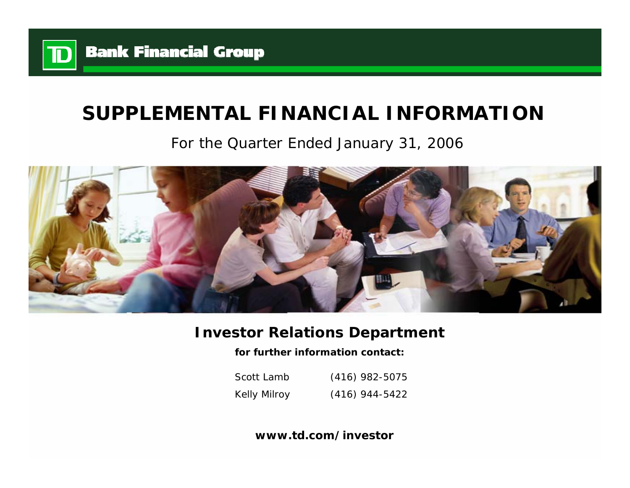

# **SUPPLEMENTAL FINANCIAL INFORMATION**

## For the Quarter Ended January 31, 2006



## **Investor Relations Department**

**for further information contact:**

Scott LambKelly Milroy (416) 982-5075 (416) 944-5422

**www.td.com/investor**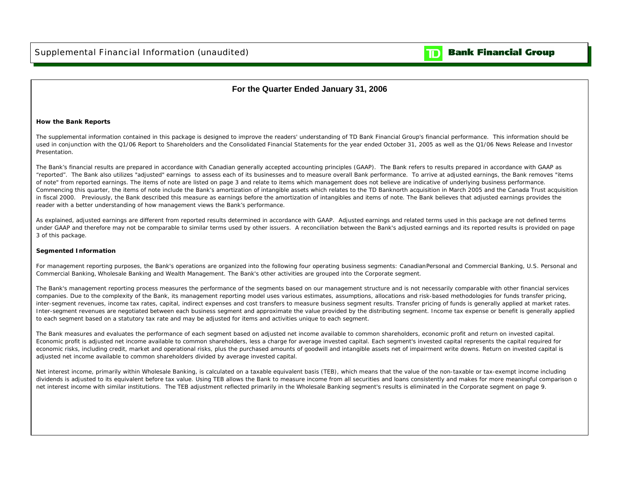

### **For the Quarter Ended January 31, 2006**

#### **How the Bank Reports**

The supplemental information contained in this package is designed to improve the readers' understanding of TD Bank Financial Group's financial performance. This information should be used in conjunction with the Q1/06 Report to Shareholders and the Consolidated Financial Statements for the year ended October 31, 2005 as well as the Q1/06 News Release and Investor Presentation.

The Bank's financial results are prepared in accordance with Canadian generally accepted accounting principles (GAAP). The Bank refers to results prepared in accordance with GAAP as "reported". The Bank also utilizes "adjusted" earnings to assess each of its businesses and to measure overall Bank performance. To arrive at adjusted earnings, the Bank removes "items of note" from reported earnings. The items of note are listed on page 3 and relate to items which management does not believe are indicative of underlying business performance. Commencing this quarter, the items of note include the Bank's amortization of intangible assets which relates to the TD Banknorth acquisition in March 2005 and the Canada Trust acquisition in fiscal 2000. Previously, the Bank described this measure as earnings before the amortization of intangibles and items of note. The Bank believes that adjusted earnings provides the reader with a better understanding of how management views the Bank's performance.

As explained, adjusted earnings are different from reported results determined in accordance with GAAP. Adjusted earnings and related terms used in this package are not defined terms under GAAP and therefore may not be comparable to similar terms used by other issuers. A reconciliation between the Bank's adjusted earnings and its reported results is provided on page 3 of this package.

#### **Segmented Information**

For management reporting purposes, the Bank's operations are organized into the following four operating business segments: Canadian Personal and Commercial Banking, U.S. Personal and Commercial Banking, Wholesale Banking and Wealth Management. The Bank's other activities are grouped into the Corporate segment.

The Bank's management reporting process measures the performance of the segments based on our management structure and is not necessarily comparable with other financial services companies. Due to the complexity of the Bank, its management reporting model uses various estimates, assumptions, allocations and risk-based methodologies for funds transfer pricing, inter-segment revenues, income tax rates, capital, indirect expenses and cost transfers to measure business segment results. Transfer pricing of funds is generally applied at market rates. Inter-segment revenues are negotiated between each business segment and approximate the value provided by the distributing segment. Income tax expense or benefit is generally applied to each segment based on a statutory tax rate and may be adjusted for items and activities unique to each segment.

The Bank measures and evaluates the performance of each segment based on adjusted net income available to common shareholders, economic profit and return on invested capital. Economic profit is adjusted net income available to common shareholders, less a charge for average invested capital. Each segment's invested capital represents the capital required for economic risks, including credit, market and operational risks, plus the purchased amounts of goodwill and intangible assets net of impairment write downs. Return on invested capital is adjusted net income available to common shareholders divided by average invested capital.

Net interest income, primarily within Wholesale Banking, is calculated on a taxable equivalent basis (TEB), which means that the value of the non-taxable or tax-exempt income including dividends is adjusted to its equivalent before tax value. Using TEB allows the Bank to measure income from all securities and loans consistently and makes for more meaningful comparison o net interest income with similar institutions. The TEB adjustment reflected primarily in the Wholesale Banking segment's results is eliminated in the Corporate segment on page 9.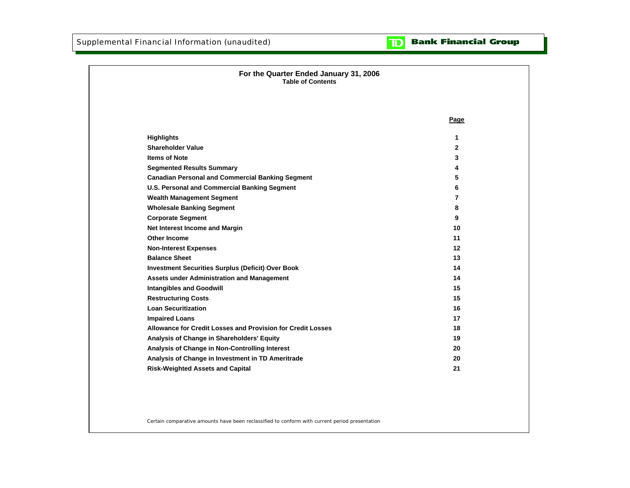#### **Bank Financial Group** וסד

| <b>Table of Contents</b>                                    |                |
|-------------------------------------------------------------|----------------|
|                                                             |                |
|                                                             | Page           |
| <b>Highlights</b>                                           | 1.             |
| <b>Shareholder Value</b>                                    | $\mathbf{2}$   |
| <b>Items of Note</b>                                        | 3              |
| <b>Segmented Results Summary</b>                            | 4              |
| <b>Canadian Personal and Commercial Banking Segment</b>     | 5              |
| U.S. Personal and Commercial Banking Segment                | 6              |
| <b>Wealth Management Segment</b>                            | $\overline{7}$ |
| <b>Wholesale Banking Segment</b>                            | 8              |
| <b>Corporate Segment</b>                                    | 9              |
| Net Interest Income and Margin                              | 10             |
| <b>Other Income</b>                                         | 11             |
| <b>Non-Interest Expenses</b>                                | $12 \,$        |
| <b>Balance Sheet</b>                                        | 13             |
| <b>Investment Securities Surplus (Deficit) Over Book</b>    | 14             |
| Assets under Administration and Management                  | 14             |
| <b>Intangibles and Goodwill</b>                             | 15             |
| <b>Restructuring Costs</b>                                  | 15             |
| <b>Loan Securitization</b>                                  | 16             |
| <b>Impaired Loans</b>                                       | 17             |
| Allowance for Credit Losses and Provision for Credit Losses | 18             |
| Analysis of Change in Shareholders' Equity                  | 19             |
| Analysis of Change in Non-Controlling Interest              | 20             |
| Analysis of Change in Investment in TD Ameritrade           | 20             |
| <b>Risk-Weighted Assets and Capital</b>                     | 21             |

Certain comparative amounts have been reclassified to conform with current period presentation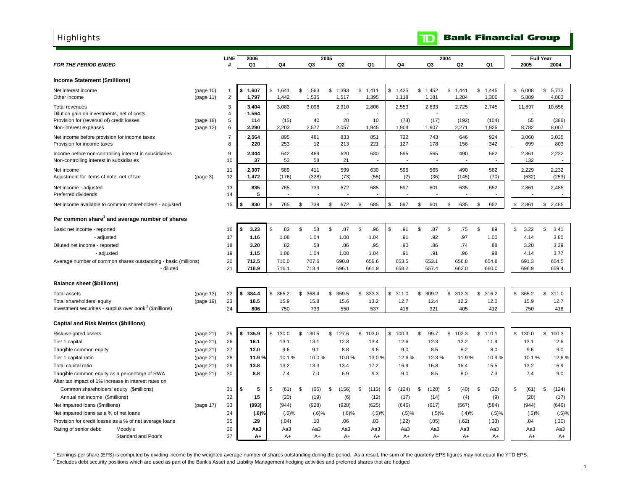<span id="page-3-0"></span>**Highlights** 

|                                                                            |                        | <b>LINE</b>             | 2006           |               |             | 2005                  |             |               |         |               | 2004               |                |             | <b>Full Year</b>         |
|----------------------------------------------------------------------------|------------------------|-------------------------|----------------|---------------|-------------|-----------------------|-------------|---------------|---------|---------------|--------------------|----------------|-------------|--------------------------|
| <b>FOR THE PERIOD ENDED</b>                                                |                        | #                       | Q <sub>1</sub> | Q4            | Q3          | Q <sub>2</sub>        | Q1          | Q4            |         | Q3            | Q <sub>2</sub>     | Q1             | 2005        | 2004                     |
|                                                                            |                        |                         |                |               |             |                       |             |               |         |               |                    |                |             |                          |
| Income Statement (\$millions)                                              |                        |                         |                |               |             |                       |             |               |         |               |                    |                |             |                          |
| Net interest income                                                        | (page 10)              | $\overline{\mathbf{1}}$ | 1,607<br>\$    | \$1,641       | \$<br>1,563 | \$1,393               | \$1,411     | \$1,435       | \$1,452 |               | \$1,441            | \$1,445        | \$6,008     | \$5,773                  |
| Other income                                                               | (page 11)              | $\overline{2}$          | 1,797          | 1,442         | 1,535       | 1,517                 | 1,395       | 1,118         |         | 1,181         | 1,284              | 1,300          | 5,889       | 4,883                    |
| Total revenues                                                             |                        | 3                       | 3.404          | 3,083         | 3,098       | 2,910                 | 2,806       | 2,553         |         | 2,633         | 2,725              | 2,745          | 11,897      | 10,656                   |
| Dilution gain on investments, net of costs                                 |                        | $\overline{4}$          | 1,564          |               |             |                       |             |               |         |               |                    |                |             |                          |
| Provision for (reversal of) credit losses<br>Non-interest expenses         | (page 18)<br>(page 12) | 5<br>6                  | 114<br>2,290   | (15)<br>2,203 | 40<br>2,577 | 20<br>2,057           | 10<br>1,945 | (73)<br>1,904 |         | (17)<br>1,907 | (192)<br>2,271     | (104)<br>1,925 | 55<br>8,782 | (386)<br>8,007           |
|                                                                            |                        | $\overline{7}$          | 2,564          | 895           | 481         | 833                   | 851         | 722           |         | 743           | 646                | 924            | 3,060       | 3,035                    |
| Net income before provision for income taxes<br>Provision for income taxes |                        | 8                       | 220            | 253           | 12          | 213                   | 221         | 127           |         | 178           | 156                | 342            | 699         | 803                      |
| Income before non-controlling interest in subsidiaries                     |                        | 9                       | 2,344          | 642           | 469         | 620                   | 630         | 595           |         | 565           | 490                | 582            | 2,361       | 2,232                    |
| Non-controlling interest in subsidiaries                                   |                        | 10                      | 37             | 53            | 58          | 21                    |             |               |         |               |                    |                | 132         | $\overline{\phantom{a}}$ |
| Net income                                                                 |                        | 11                      | 2,307          | 589           | 411         | 599                   | 630         | 595           |         | 565           | 490                | 582            | 2,229       | 2,232                    |
| Adjustment for items of note, net of tax                                   | (page 3)               | 12                      | 1,472          | (176)         | (328)       | (73)                  | (55)        |               | (2)     | (36)          | (145)              | (70)           | (632)       | (253)                    |
|                                                                            |                        | 13                      | 835            | 765           | 739         | 672                   | 685         | 597           |         | 601           | 635                | 652            | 2,861       | 2,485                    |
| Net income - adjusted<br>Preferred dividends                               |                        | 14                      | 5              |               |             |                       |             |               |         |               |                    |                |             |                          |
|                                                                            |                        |                         |                |               |             |                       |             |               |         |               |                    |                |             |                          |
| Net income available to common shareholders - adjusted                     |                        | 15                      | 830            | \$<br>765     | \$<br>739   | \$<br>672             | \$<br>685   | \$<br>597     | \$      | 601           | \$<br>635          | \$<br>652      | \$2,861     | \$2,485                  |
| Per common share <sup>1</sup> and average number of shares                 |                        |                         |                |               |             |                       |             |               |         |               |                    |                |             |                          |
| Basic net income - reported                                                |                        | 16                      | 3.23<br>\$     | \$<br>.83     | \$<br>.58   | \$<br>.87             | \$<br>.96   | \$<br>.91     | \$      | .87           | $\mathbb S$<br>.75 | \$<br>.89      | \$<br>3.22  | \$<br>3.41               |
| - adjusted                                                                 |                        | 17                      | 1.16           | 1.08          | 1.04        | 1.00                  | 1.04        | .91           |         | .92           | .97                | 1.00           | 4.14        | 3.80                     |
| Diluted net income - reported                                              |                        | 18                      | 3.20           | .82           | .58         | .86                   | .95         |               | .90     | .86           | .74                | .88            | 3.20        | 3.39                     |
| - adjusted                                                                 |                        | 19                      | 1.15           | 1.06          | 1.04        | 1.00                  | 1.04        | .91           |         | .91           | .96                | .98            | 4.14        | 3.77                     |
| Average number of common shares outstanding - basic (millions)             |                        | 20                      | 712.5          | 710.0         | 707.6       | 690.8                 | 656.6       | 653.5         |         | 653.1         | 656.8              | 654.8          | 691.3       | 654.5                    |
| - diluted                                                                  |                        | 21                      | 718.9          | 716.1         | 713.4       | 696.1                 | 661.9       | 658.2         |         | 657.4         | 662.0              | 660.0          | 696.9       | 659.4                    |
| <b>Balance sheet (\$billions)</b>                                          |                        |                         |                |               |             |                       |             |               |         |               |                    |                |             |                          |
| <b>Total assets</b>                                                        | (page 13)              | 22                      | 384.4<br>\$    | \$<br>365.2   | \$<br>368.4 | $\mathbb{S}$<br>359.5 | \$<br>333.3 | \$<br>311.0   | \$      | 309.2         | \$312.3            | \$<br>316.2    | \$<br>365.2 | \$<br>311.0              |
| Total shareholders' equity                                                 | (page 19)              | 23                      | 18.5           | 15.9          | 15.8        | 15.6                  | 13.2        | 12.7          |         | 12.4          | 12.2               | 12.0           | 15.9        | 12.7                     |
| Investment securities - surplus over book <sup>2</sup> (\$millions)        |                        | 24                      | 806            | 750           | 733         | 550                   | 537         | 418           |         | 321           | 405                | 412            | 750         | 418                      |
|                                                                            |                        |                         |                |               |             |                       |             |               |         |               |                    |                |             |                          |
| <b>Capital and Risk Metrics (\$billions)</b>                               |                        |                         | 135.9          | \$<br>130.0   | \$<br>130.5 | \$                    | 103.0<br>\$ | \$<br>100.3   | \$      | 99.7          | \$<br>102.3        | \$<br>110.1    | \$<br>130.0 | \$<br>100.3              |
| Risk-weighted assets<br>Tier 1 capital                                     | (page 21)<br>(page 21) | 25<br>26                | \$<br>16.1     | 13.1          | 13.1        | 127.6<br>12.8         | 13.4        | 12.6          |         | 12.3          | 12.2               | 11.9           | 13.1        | 12.6                     |
| Tangible common equity                                                     | (page 21)              | 27                      | 12.0           | 9.6           | 9.1         | 8.8                   | 9.6         | 9.0           |         | 8.5           | 8.2                | 8.0            | 9.6         | 9.0                      |
| Tier 1 capital ratio                                                       | (page 21)              | 28                      | 11.9%          | 10.1%         | 10.0%       | 10.0%                 | 13.0%       |               | 12.6%   | 12.3%         | 11.9%              | 10.9%          | 10.1%       | 12.6%                    |
| Total capital ratio                                                        | (page 21)              | 29                      | 13.8           | 13.2          | 13.3        | 13.4                  | 17.2        | 16.9          |         | 16.8          | 16.4               | 15.5           | 13.2        | 16.9                     |
| Tangible common equity as a percentage of RWA                              | (page 21)              | 30                      | 8.8            | 7.4           | 7.0         | 6.9                   | 9.3         | 9.0           |         | 8.5           | 8.0                | 7.3            | 7.4         | 9.0                      |
| After tax impact of 1% increase in interest rates on                       |                        |                         |                |               |             |                       |             |               |         |               |                    |                |             |                          |
| Common shareholders' equity (\$millions)                                   |                        | 31                      | 5<br>S         | \$<br>(61)    | \$<br>(66)  | (156)<br>\$           | \$<br>(113) | \$<br>(124)   | \$      | (120)         | \$<br>(40)         | \$<br>(32)     | \$<br>(61)  | \$<br>(124)              |
| Annual net income (\$millions)                                             |                        | 32                      | 15             | (20)          | (19)        | (6)                   | (12)        |               | (17)    | (14)          | (4)                | (9)            | (20)        | (17)                     |
| Net impaired loans (\$millions)                                            | (page 17)              | 33                      | (993)          | (944)         | (928)       | (928)                 | (625)       | (646)         |         | (617)         | (567)              | (584)          | (944)       | (646)                    |
| Net impaired loans as a % of net loans                                     |                        | 34                      | (.6)%          | $(.6)$ %      | $(.6)$ %    | $(.6)$ %              | (.5)%       |               | (.5)%   | (.5)%         | (.4)%              | (.5)%          | $(.6)$ %    | (.5)%                    |
| Provision for credit losses as a % of net average loans                    |                        | 35                      | .29            | (.04)         | .10         | .06                   | .03         | (.22)         |         | (.05)         | (.62)              | (.33)          | .04         | (.30)                    |
| Rating of senior debt:<br>Moody's                                          |                        | 36                      | Aa3            | Aa3           | Aa3         | Aa3                   | Aa3         |               | Aa3     | Aa3           | Aa3                | Aa3            | Aa3         | Aa3                      |
| Standard and Poor's                                                        |                        | 37                      | A+             | $A+$          | $A+$        | $A+$                  | $A+$        |               | $A+$    | $A+$          | $A+$               | $A+$           | $A+$        | $A+$                     |

1 Earnings per share (EPS) is computed by dividing income by the weighted average number of shares outstanding during the period. As a result, the sum of the quarterly EPS figures may not equal the YTD EPS.

<sup>2</sup> Excludes debt security positions which are used as part of the Bank's Asset and Liability Management hedging activities and preferred shares that are hedged

**TD** Bank Financial Group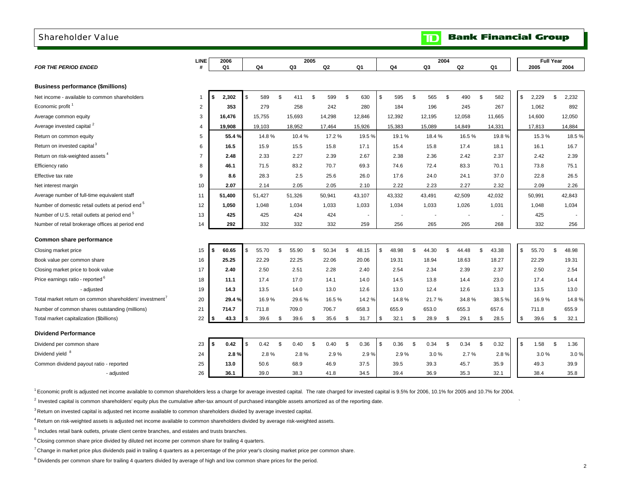### <span id="page-4-0"></span>Shareholder Value

|                                                              | <b>LINE</b>    | 2006           |             |                  | 2005           |             |             | 2004        |                |                |             | <b>Full Year</b> |
|--------------------------------------------------------------|----------------|----------------|-------------|------------------|----------------|-------------|-------------|-------------|----------------|----------------|-------------|------------------|
| <b>FOR THE PERIOD ENDED</b>                                  | #              | Q <sub>1</sub> | Q4          | Q3               | Q <sub>2</sub> | Q1          | Q4          | Q3          | Q <sub>2</sub> | Q <sub>1</sub> | 2005        | 2004             |
|                                                              |                |                |             |                  |                |             |             |             |                |                |             |                  |
| <b>Business performance (\$millions)</b>                     |                |                |             |                  |                |             |             |             |                |                |             |                  |
| Net income - available to common shareholders                |                | 2,302<br>\$    | \$<br>589   | \$<br>411        | 599<br>\$      | \$<br>630   | \$<br>595   | \$<br>565   | \$.<br>490     | \$<br>582      | \$<br>2,229 | \$<br>2,232      |
| Economic profit <sup>1</sup>                                 | $\overline{2}$ | 353            | 279         | 258              | 242            | 280         | 184         | 196         | 245            | 267            | 1,062       | 892              |
| Average common equity                                        | 3              | 16,476         | 15,755      | 15,693           | 14,298         | 12,846      | 12,392      | 12,195      | 12,058         | 11,665         | 14,600      | 12,050           |
| Average invested capital <sup>2</sup>                        | 4              | 19,908         | 19,103      | 18,952           | 17,464         | 15,926      | 15,383      | 15,089      | 14,849         | 14,331         | 17,813      | 14,884           |
| Return on common equity                                      | 5              | 55.4%          | 14.8%       | 10.4%            | 17.2%          | 19.5%       | 19.1%       | 18.4%       | 16.5%          | 19.8%          | 15.3%       | 18.5%            |
| Return on invested capital <sup>3</sup>                      | 6              | 16.5           | 15.9        | 15.5             | 15.8           | 17.1        | 15.4        | 15.8        | 17.4           | 18.1           | 16.1        | 16.7             |
| Return on risk-weighted assets <sup>4</sup>                  | $\overline{7}$ | 2.48           | 2.33        | 2.27             | 2.39           | 2.67        | 2.38        | 2.36        | 2.42           | 2.37           | 2.42        | 2.39             |
| Efficiency ratio                                             | 8              | 46.1           | 71.5        | 83.2             | 70.7           | 69.3        | 74.6        | 72.4        | 83.3           | 70.1           | 73.8        | 75.1             |
| Effective tax rate                                           | 9              | 8.6            | 28.3        | 2.5              | 25.6           | 26.0        | 17.6        | 24.0        | 24.1           | 37.0           | 22.8        | 26.5             |
| Net interest margin                                          | 10             | 2.07           | 2.14        | 2.05             | 2.05           | 2.10        | 2.22        | 2.23        | 2.27           | 2.32           | 2.09        | 2.26             |
| Average number of full-time equivalent staff                 | 11             | 51,400         | 51,427      | 51,326           | 50,941         | 43,107      | 43,332      | 43,491      | 42,509         | 42,032         | 50,991      | 42,843           |
| Number of domestic retail outlets at period end <sup>5</sup> | 12             | 1,050          | 1,048       | 1,034            | 1,033          | 1,033       | 1,034       | 1,033       | 1,026          | 1,031          | 1,048       | 1,034            |
| Number of U.S. retail outlets at period end <sup>5</sup>     | 13             | 425            | 425         | 424              | 424            |             |             |             |                |                | 425         |                  |
| Number of retail brokerage offices at period end             | 14             | 292            | 332         | 332              | 332            | 259         | 256         | 265         | 265            | 268            | 332         | 256              |
| Common share performance                                     |                |                |             |                  |                |             |             |             |                |                |             |                  |
| Closing market price                                         | 15             | \$<br>60.65    | \$<br>55.70 | \$<br>55.90      | \$<br>50.34    | \$<br>48.15 | \$<br>48.98 | \$<br>44.30 | \$<br>44.48    | \$<br>43.38    | \$<br>55.70 | \$<br>48.98      |
| Book value per common share                                  | 16             | 25.25          | 22.29       | 22.25            | 22.06          | 20.06       | 19.31       | 18.94       | 18.63          | 18.27          | 22.29       | 19.31            |
| Closing market price to book value                           | 17             | 2.40           | 2.50        | 2.51             | 2.28           | 2.40        | 2.54        | 2.34        | 2.39           | 2.37           | 2.50        | 2.54             |
| Price earnings ratio - reported <sup>o</sup>                 | 18             | 11.1           | 17.4        | 17.0             | 14.1           | 14.0        | 14.5        | 13.8        | 14.4           | 23.0           | 17.4        | 14.4             |
| - adjusted                                                   | 19             | 14.3           | 13.5        | 14.0             | 13.0           | 12.6        | 13.0        | 12.4        | 12.6           | 13.3           | 13.5        | 13.0             |
| Total market return on common shareholders' investment'      | 20             | 29.4%          | 16.9%       | 29.6%            | 16.5%          | 14.2%       | 14.8%       | 21.7%       | 34.8%          | 38.5%          | 16.9%       | 14.8%            |
| Number of common shares outstanding (millions)               | 21             | 714.7          | 711.8       | 709.0            | 706.7          | 658.3       | 655.9       | 653.0       | 655.3          | 657.6          | 711.8       | 655.9            |
| Total market capitalization (\$billions)                     | 22             | 43.3           | \$<br>39.6  | \$<br>39.6       | \$<br>35.6     | \$<br>31.7  | \$<br>32.1  | \$<br>28.9  | \$<br>29.1     | \$<br>28.5     | \$<br>39.6  | 32.1<br>\$       |
|                                                              |                |                |             |                  |                |             |             |             |                |                |             |                  |
| <b>Dividend Performance</b>                                  |                |                |             |                  |                |             |             |             |                |                |             |                  |
| Dividend per common share                                    | 23             | \$<br>0.42     | \$<br>0.42  | <b>S</b><br>0.40 | - \$<br>0.40   | \$<br>0.36  | \$<br>0.36  | \$<br>0.34  | \$<br>0.34     | \$<br>0.32     | \$<br>1.58  | <b>S</b><br>1.36 |
| Dividend yield <sup>8</sup>                                  | 24             | 2.8%           | 2.8%        | 2.8%             | 2.9%           | 2.9%        | 2.9%        | 3.0%        | 2.7%           | 2.8%           |             | 3.0%<br>3.0%     |
| Common dividend payout ratio - reported                      | 25             | 13.0           | 50.6        | 68.9             | 46.9           | 37.5        | 39.5        | 39.3        | 45.7           | 35.9           | 49.3        | 39.9             |
| - adjusted                                                   | 26             | 36.1           | 39.0        | 38.3             | 41.8           | 34.5        | 39.4        | 36.9        | 35.3           | 32.1           | 38.4        | 35.8             |

1 Economic profit is adjusted net income available to common shareholders less a charge for average invested capital. The rate charged for invested capital is 9.5% for 2006, 10.1% for 2005 and 10.7% for 2004.

 $2$  Invested capital is common shareholders' equity plus the cumulative after-tax amount of purchased intangible assets amortized as of the reporting date.

 $3$  Return on invested capital is adjusted net income available to common shareholders divided by average invested capital.

4 Return on risk-weighted assets is adjusted net income available to common shareholders divided by average risk-weighted assets.

 $5$  Includes retail bank outlets, private client centre branches, and estates and trusts branches.

 $6$  Closing common share price divided by diluted net income per common share for trailing 4 quarters.

 $^7$  Change in market price plus dividends paid in trailing 4 quarters as a percentage of the prior year's closing market price per common share.

<sup>8</sup> Dividends per common share for trailing 4 quarters divided by average of high and low common share prices for the period.

**Bank Financial Group** 

 $\mathbf{D}$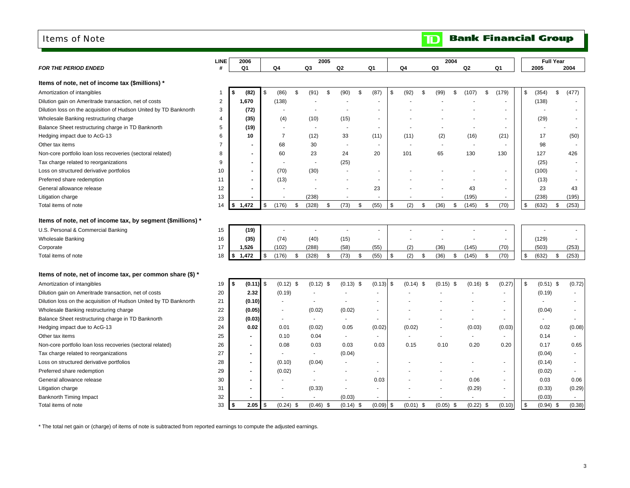#### <span id="page-5-0"></span>Items of Note

|                                                                   | <b>LINE</b>    | 2006               |            |                          |               | 2005                     |                          |                          |             |             | 2004 |                |             |     |             | <b>Full Year</b> |                |
|-------------------------------------------------------------------|----------------|--------------------|------------|--------------------------|---------------|--------------------------|--------------------------|--------------------------|-------------|-------------|------|----------------|-------------|-----|-------------|------------------|----------------|
| <b>FOR THE PERIOD ENDED</b>                                       | #              | Q1                 |            | Q <sub>4</sub>           |               | Q3                       | Q2                       | Q <sub>1</sub>           | Q4          | Q3          |      | Q <sub>2</sub> | Q1          |     | 2005        |                  | 2004           |
| Items of note, net of income tax (\$millions) *                   |                |                    |            |                          |               |                          |                          |                          |             |             |      |                |             |     |             |                  |                |
| Amortization of intangibles                                       | 1              | (82)               | \$         | (86)                     | \$            | (91)                     | \$<br>(90)<br>\$         | (87)                     | \$<br>(92)  | \$<br>(99)  | \$   | (107)          | \$<br>(179) | \$  | (354)       | \$               | (477)          |
| Dilution gain on Ameritrade transaction, net of costs             | $\overline{2}$ | 1,670              |            | (138)                    |               |                          |                          | ÷.                       |             |             |      |                |             |     | (138)       |                  |                |
| Dilution loss on the acquisition of Hudson United by TD Banknorth | 3              | (72)               |            |                          |               |                          |                          | ×                        |             |             |      |                | $\sim$      |     |             |                  |                |
| Wholesale Banking restructuring charge                            | 4              | (35)               |            | (4)                      |               | (10)                     | (15)                     |                          |             |             |      |                |             |     | (29)        |                  |                |
| Balance Sheet restructuring charge in TD Banknorth                | 5              | (19)               |            |                          |               |                          | $\overline{a}$           | ٠                        |             |             |      |                |             |     |             |                  |                |
| Hedging impact due to AcG-13                                      | 6              | 10                 |            | $\overline{7}$           |               | (12)                     | 33                       | (11)                     | (11)        | (2)         |      | (16)           | (21)        |     | 17          |                  | (50)           |
| Other tax items                                                   | 7              |                    |            | 68                       |               | 30                       | $\sim$                   | ÷.                       |             | $\sim$      |      | $\sim$         |             |     | 98          |                  |                |
| Non-core portfolio loan loss recoveries (sectoral related)        | 8              |                    |            | 60                       |               | 23                       | 24                       | 20                       | 101         | 65          |      | 130            | 130         |     | 127         |                  | 426            |
| Tax charge related to reorganizations                             | 9              |                    |            |                          |               |                          | (25)                     |                          |             |             |      |                |             |     | (25)        |                  |                |
| Loss on structured derivative portfolios                          | 10             |                    |            | (70)                     |               | (30)                     |                          |                          |             |             |      |                |             |     | (100)       |                  |                |
| Preferred share redemption                                        | 11             |                    |            | (13)                     |               |                          |                          |                          |             |             |      |                |             |     | (13)        |                  |                |
| General allowance release                                         | 12             |                    |            |                          |               |                          |                          | 23                       |             |             |      | 43             |             |     | 23          |                  | 43             |
| Litigation charge                                                 | 13             | $\blacksquare$     |            |                          |               | (238)                    | ×                        | ×                        |             |             |      | (195)          | $\sim$      |     | (238)       |                  | (195)          |
| Total items of note                                               | 14             | 1,472<br>$\bullet$ | \$         | (176)                    | \$            | (328)                    | \$<br>(73)<br>\$         | (55)                     | \$<br>(2)   | \$<br>(36)  | \$   | (145)          | \$<br>(70)  | \$  | (632)       | \$               | (253)          |
| Items of note, net of income tax, by segment (\$millions) *       |                |                    |            |                          |               |                          |                          |                          |             |             |      |                |             |     |             |                  |                |
| U.S. Personal & Commercial Banking                                | 15             | (19)               |            | ÷,                       |               |                          | ÷,                       | $\overline{\phantom{a}}$ |             |             |      |                |             |     |             |                  |                |
| <b>Wholesale Banking</b>                                          | 16             | (35)               |            | (74)                     |               | (40)                     | (15)                     | $\overline{\phantom{a}}$ |             |             |      |                | ٠           |     | (129)       |                  |                |
| Corporate                                                         | 17             | 1,526              |            | (102)                    |               | (288)                    | (58)                     | (55)                     | (2)         | (36)        |      | (145)          | (70)        |     | (503)       |                  | (253)          |
| Total items of note                                               | 18             | \$1,472            | \$         | (176)                    | $\sqrt[6]{3}$ | (328)                    | \$<br>\$<br>(73)         | (55)                     | \$<br>(2)   | \$<br>(36)  | \$   | (145)          | \$<br>(70)  | \$  | (632)       | \$               | (253)          |
| Items of note, net of income tax, per common share (\$) *         |                |                    |            |                          |               |                          |                          |                          |             |             |      |                |             |     |             |                  |                |
| Amortization of intangibles                                       | 19             | (0.11)<br>\$       | <b>\$</b>  | $(0.12)$ \$              |               | $(0.12)$ \$              | $(0.13)$ \$              | $(0.13)$ \$              | $(0.14)$ \$ | $(0.15)$ \$ |      | $(0.16)$ \$    | (0.27)      | -\$ | $(0.51)$ \$ |                  | (0.72)         |
| Dilution gain on Ameritrade transaction, net of costs             | 20             | 2.32               |            | (0.19)                   |               |                          |                          |                          |             |             |      |                |             |     | (0.19)      |                  | $\blacksquare$ |
| Dilution loss on the acquisition of Hudson United by TD Banknorth | 21             | (0.10)             |            |                          |               | ÷,                       | $\overline{a}$           |                          |             |             |      |                |             |     |             |                  | $\blacksquare$ |
| Wholesale Banking restructuring charge                            | 22             | (0.05)             |            |                          |               | (0.02)                   | (0.02)                   |                          |             |             |      |                |             |     | (0.04)      |                  |                |
| Balance Sheet restructuring charge in TD Banknorth                | 23             | (0.03)             |            | $\overline{\phantom{a}}$ |               | $\sim$                   | $\blacksquare$           |                          |             |             |      |                |             |     |             |                  |                |
| Hedging impact due to AcG-13                                      | 24             | 0.02               |            | 0.01                     |               | (0.02)                   | 0.05                     | (0.02)                   | (0.02)      | $\sim$      |      | (0.03)         | (0.03)      |     | 0.02        |                  | (0.08)         |
| Other tax items                                                   | 25             |                    |            | 0.10                     |               | 0.04                     | $\overline{\phantom{a}}$ |                          |             |             |      |                |             |     | 0.14        |                  |                |
| Non-core portfolio loan loss recoveries (sectoral related)        | 26             | $\blacksquare$     |            | 0.08                     |               | 0.03                     | 0.03                     | 0.03                     | 0.15        | 0.10        |      | 0.20           | 0.20        |     | 0.17        |                  | 0.65           |
| Tax charge related to reorganizations                             | 27             | $\blacksquare$     |            |                          |               | $\blacksquare$           | (0.04)                   |                          |             |             |      |                |             |     | (0.04)      |                  | $\sim$         |
| Loss on structured derivative portfolios                          | 28             |                    |            | (0.10)                   |               | (0.04)                   | ÷,                       |                          |             |             |      |                |             |     | (0.14)      |                  | ٠              |
| Preferred share redemption                                        | 29             |                    |            | (0.02)                   |               | $\overline{\phantom{a}}$ | $\blacksquare$           |                          |             |             |      |                |             |     | (0.02)      |                  | ٠              |
| General allowance release                                         | 30             |                    |            |                          |               | ٠                        |                          | 0.03                     |             |             |      | 0.06           |             |     | 0.03        |                  | 0.06           |
| Litigation charge                                                 | 31             |                    |            |                          |               | (0.33)                   | $\overline{a}$           |                          |             |             |      | (0.29)         |             |     | (0.33)      |                  | (0.29)         |
| <b>Banknorth Timing Impact</b>                                    | 32             | $\blacksquare$     |            |                          |               |                          | (0.03)                   |                          |             |             |      |                |             |     | (0.03)      |                  | $\sim$         |
| Total items of note                                               | 33             | 2.05<br>\$         | $\sqrt{3}$ | $(0.24)$ \$              |               | $(0.46)$ \$              | $(0.14)$ \$              | $(0.09)$ \$              | $(0.01)$ \$ | $(0.05)$ \$ |      | $(0.22)$ \$    | (0.10)      | \$  | $(0.94)$ \$ |                  | (0.38)         |

\* The total net gain or (charge) of items of note is subtracted from reported earnings to compute the adjusted earnings.

**TD** Bank Financial Group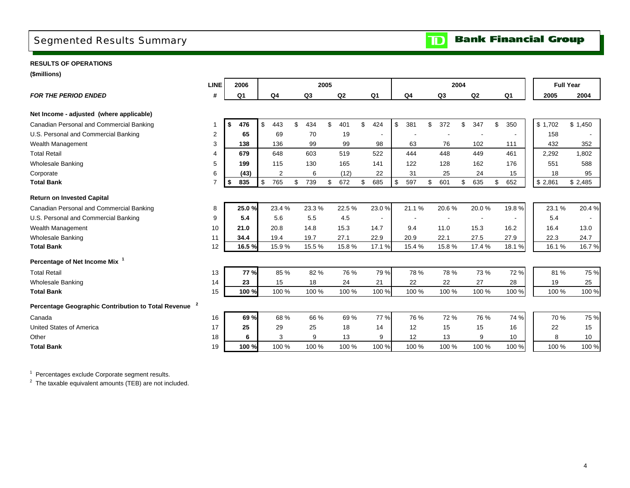## <span id="page-6-0"></span>Segmented Results Summary

**RESULTS OF OPERATIONS**

| <b>Full Year</b><br><b>LINE</b><br>2006<br>2005<br>2004<br>#<br>Q2<br><b>FOR THE PERIOD ENDED</b><br>Q <sub>1</sub><br>Q <sub>4</sub><br>Q3<br>Q <sub>1</sub><br>Q <sub>4</sub><br>Q3<br>Q2<br>Q <sub>1</sub><br>2005<br>2004<br>Net Income - adjusted (where applicable)<br>\$<br>\$<br>\$1,702<br>Canadian Personal and Commercial Banking<br>443<br>434<br>\$<br>401<br>\$<br>424<br>381<br>\$<br>\$<br>350<br>\$1,450<br>476<br>372<br>\$<br>347<br>\$<br>U.S. Personal and Commercial Banking<br>69<br>$\overline{2}$<br>65<br>70<br>19<br>158<br>3<br>98<br>76<br>Wealth Management<br>136<br>99<br>99<br>63<br>102<br>432<br>352<br>138<br>111<br><b>Total Retail</b><br>648<br>603<br>519<br>522<br>444<br>448<br>449<br>461<br>679<br>2,292<br>1,802<br>4<br>122<br><b>Wholesale Banking</b><br>5<br>199<br>115<br>130<br>165<br>141<br>128<br>162<br>176<br>551<br>588<br>6<br>(43)<br>$\overline{2}$<br>6<br>22<br>31<br>25<br>24<br>15<br>18<br>95<br>Corporate<br>(12)<br><b>Total Bank</b><br>835<br>\$<br>765<br>\$<br>672<br>\$<br>685<br>\$<br>597<br>\$<br>601<br>635<br>652<br>\$2,861<br>$\overline{7}$<br>\$<br>\$<br>739<br>\$<br>\$<br>\$2,485<br><b>Return on Invested Capital</b><br>23.4 %<br>23.0%<br>21.1%<br>20.6%<br>19.8%<br>23.1 %<br>20.4%<br>Canadian Personal and Commercial Banking<br>25.0%<br>23.3%<br>22.5%<br>20.0%<br>8<br>U.S. Personal and Commercial Banking<br>5.4<br>5.6<br>5.5<br>4.5<br>5.4<br>9<br>$\blacksquare$<br>$\overline{\phantom{a}}$<br>Wealth Management<br>20.8<br>14.8<br>15.3<br>14.7<br>9.4<br>11.0<br>15.3<br>16.2<br>16.4<br>13.0<br>10<br>21.0<br>22.9<br>20.9<br>22.1<br>27.5<br>22.3<br><b>Wholesale Banking</b><br>11<br>34.4<br>19.4<br>19.7<br>27.1<br>27.9<br>24.7<br><b>Total Bank</b><br>12<br>16.5%<br>15.9%<br>15.5%<br>15.8%<br>17.1 %<br>15.4%<br>15.8%<br>17.4 %<br>18.1%<br>16.7%<br>16.1%<br>Percentage of Net Income Mix <sup>1</sup><br>85 %<br>82 %<br>79 %<br>72 %<br>81%<br>13<br><b>77 %</b><br>76 %<br>78 %<br>78 %<br>73 %<br>14<br>15<br>22<br>19<br><b>Wholesale Banking</b><br>23<br>18<br>24<br>21<br>22<br>27<br>28<br>25<br>100 %<br><b>Total Bank</b><br>15<br>100 %<br>100 %<br>100 %<br>100 %<br>100 %<br>100 %<br>100 %<br>100 %<br>100 %<br>100 %<br>77 %<br>74 %<br>69 %<br>68 %<br>66 %<br>69 %<br>76 %<br>70 %<br>75 %<br>Canada<br>16<br>72 %<br>76 %<br>United States of America<br>17<br>25<br>29<br>25<br>18<br>14<br>12<br>15<br>15<br>16<br>22<br>15<br>9<br>12<br>9<br>18<br>6<br>3<br>13<br>9<br>13<br>10<br>8<br>Other<br>10<br>100 %<br>100 %<br>100 %<br>100 %<br><b>Total Bank</b><br>19<br>100 %<br>100 %<br>100 %<br>100 %<br>100 %<br>100 %<br>100 % | (\$millions)                                                     |  |  |  |  |  |  |  |  |  |  |  |
|----------------------------------------------------------------------------------------------------------------------------------------------------------------------------------------------------------------------------------------------------------------------------------------------------------------------------------------------------------------------------------------------------------------------------------------------------------------------------------------------------------------------------------------------------------------------------------------------------------------------------------------------------------------------------------------------------------------------------------------------------------------------------------------------------------------------------------------------------------------------------------------------------------------------------------------------------------------------------------------------------------------------------------------------------------------------------------------------------------------------------------------------------------------------------------------------------------------------------------------------------------------------------------------------------------------------------------------------------------------------------------------------------------------------------------------------------------------------------------------------------------------------------------------------------------------------------------------------------------------------------------------------------------------------------------------------------------------------------------------------------------------------------------------------------------------------------------------------------------------------------------------------------------------------------------------------------------------------------------------------------------------------------------------------------------------------------------------------------------------------------------------------------------------------------------------------------------------------------------------------------------------------------------------------------------------------------------------------------------------------------------------------------------------------------------------------------------------------------------------------------------------------------------------------------------------------------------------------------------------------------------------------------------------------------|------------------------------------------------------------------|--|--|--|--|--|--|--|--|--|--|--|
| 75 %                                                                                                                                                                                                                                                                                                                                                                                                                                                                                                                                                                                                                                                                                                                                                                                                                                                                                                                                                                                                                                                                                                                                                                                                                                                                                                                                                                                                                                                                                                                                                                                                                                                                                                                                                                                                                                                                                                                                                                                                                                                                                                                                                                                                                                                                                                                                                                                                                                                                                                                                                                                                                                                                       |                                                                  |  |  |  |  |  |  |  |  |  |  |  |
|                                                                                                                                                                                                                                                                                                                                                                                                                                                                                                                                                                                                                                                                                                                                                                                                                                                                                                                                                                                                                                                                                                                                                                                                                                                                                                                                                                                                                                                                                                                                                                                                                                                                                                                                                                                                                                                                                                                                                                                                                                                                                                                                                                                                                                                                                                                                                                                                                                                                                                                                                                                                                                                                            |                                                                  |  |  |  |  |  |  |  |  |  |  |  |
|                                                                                                                                                                                                                                                                                                                                                                                                                                                                                                                                                                                                                                                                                                                                                                                                                                                                                                                                                                                                                                                                                                                                                                                                                                                                                                                                                                                                                                                                                                                                                                                                                                                                                                                                                                                                                                                                                                                                                                                                                                                                                                                                                                                                                                                                                                                                                                                                                                                                                                                                                                                                                                                                            |                                                                  |  |  |  |  |  |  |  |  |  |  |  |
|                                                                                                                                                                                                                                                                                                                                                                                                                                                                                                                                                                                                                                                                                                                                                                                                                                                                                                                                                                                                                                                                                                                                                                                                                                                                                                                                                                                                                                                                                                                                                                                                                                                                                                                                                                                                                                                                                                                                                                                                                                                                                                                                                                                                                                                                                                                                                                                                                                                                                                                                                                                                                                                                            |                                                                  |  |  |  |  |  |  |  |  |  |  |  |
|                                                                                                                                                                                                                                                                                                                                                                                                                                                                                                                                                                                                                                                                                                                                                                                                                                                                                                                                                                                                                                                                                                                                                                                                                                                                                                                                                                                                                                                                                                                                                                                                                                                                                                                                                                                                                                                                                                                                                                                                                                                                                                                                                                                                                                                                                                                                                                                                                                                                                                                                                                                                                                                                            |                                                                  |  |  |  |  |  |  |  |  |  |  |  |
|                                                                                                                                                                                                                                                                                                                                                                                                                                                                                                                                                                                                                                                                                                                                                                                                                                                                                                                                                                                                                                                                                                                                                                                                                                                                                                                                                                                                                                                                                                                                                                                                                                                                                                                                                                                                                                                                                                                                                                                                                                                                                                                                                                                                                                                                                                                                                                                                                                                                                                                                                                                                                                                                            |                                                                  |  |  |  |  |  |  |  |  |  |  |  |
|                                                                                                                                                                                                                                                                                                                                                                                                                                                                                                                                                                                                                                                                                                                                                                                                                                                                                                                                                                                                                                                                                                                                                                                                                                                                                                                                                                                                                                                                                                                                                                                                                                                                                                                                                                                                                                                                                                                                                                                                                                                                                                                                                                                                                                                                                                                                                                                                                                                                                                                                                                                                                                                                            |                                                                  |  |  |  |  |  |  |  |  |  |  |  |
|                                                                                                                                                                                                                                                                                                                                                                                                                                                                                                                                                                                                                                                                                                                                                                                                                                                                                                                                                                                                                                                                                                                                                                                                                                                                                                                                                                                                                                                                                                                                                                                                                                                                                                                                                                                                                                                                                                                                                                                                                                                                                                                                                                                                                                                                                                                                                                                                                                                                                                                                                                                                                                                                            |                                                                  |  |  |  |  |  |  |  |  |  |  |  |
|                                                                                                                                                                                                                                                                                                                                                                                                                                                                                                                                                                                                                                                                                                                                                                                                                                                                                                                                                                                                                                                                                                                                                                                                                                                                                                                                                                                                                                                                                                                                                                                                                                                                                                                                                                                                                                                                                                                                                                                                                                                                                                                                                                                                                                                                                                                                                                                                                                                                                                                                                                                                                                                                            |                                                                  |  |  |  |  |  |  |  |  |  |  |  |
|                                                                                                                                                                                                                                                                                                                                                                                                                                                                                                                                                                                                                                                                                                                                                                                                                                                                                                                                                                                                                                                                                                                                                                                                                                                                                                                                                                                                                                                                                                                                                                                                                                                                                                                                                                                                                                                                                                                                                                                                                                                                                                                                                                                                                                                                                                                                                                                                                                                                                                                                                                                                                                                                            |                                                                  |  |  |  |  |  |  |  |  |  |  |  |
|                                                                                                                                                                                                                                                                                                                                                                                                                                                                                                                                                                                                                                                                                                                                                                                                                                                                                                                                                                                                                                                                                                                                                                                                                                                                                                                                                                                                                                                                                                                                                                                                                                                                                                                                                                                                                                                                                                                                                                                                                                                                                                                                                                                                                                                                                                                                                                                                                                                                                                                                                                                                                                                                            |                                                                  |  |  |  |  |  |  |  |  |  |  |  |
|                                                                                                                                                                                                                                                                                                                                                                                                                                                                                                                                                                                                                                                                                                                                                                                                                                                                                                                                                                                                                                                                                                                                                                                                                                                                                                                                                                                                                                                                                                                                                                                                                                                                                                                                                                                                                                                                                                                                                                                                                                                                                                                                                                                                                                                                                                                                                                                                                                                                                                                                                                                                                                                                            |                                                                  |  |  |  |  |  |  |  |  |  |  |  |
|                                                                                                                                                                                                                                                                                                                                                                                                                                                                                                                                                                                                                                                                                                                                                                                                                                                                                                                                                                                                                                                                                                                                                                                                                                                                                                                                                                                                                                                                                                                                                                                                                                                                                                                                                                                                                                                                                                                                                                                                                                                                                                                                                                                                                                                                                                                                                                                                                                                                                                                                                                                                                                                                            |                                                                  |  |  |  |  |  |  |  |  |  |  |  |
|                                                                                                                                                                                                                                                                                                                                                                                                                                                                                                                                                                                                                                                                                                                                                                                                                                                                                                                                                                                                                                                                                                                                                                                                                                                                                                                                                                                                                                                                                                                                                                                                                                                                                                                                                                                                                                                                                                                                                                                                                                                                                                                                                                                                                                                                                                                                                                                                                                                                                                                                                                                                                                                                            |                                                                  |  |  |  |  |  |  |  |  |  |  |  |
|                                                                                                                                                                                                                                                                                                                                                                                                                                                                                                                                                                                                                                                                                                                                                                                                                                                                                                                                                                                                                                                                                                                                                                                                                                                                                                                                                                                                                                                                                                                                                                                                                                                                                                                                                                                                                                                                                                                                                                                                                                                                                                                                                                                                                                                                                                                                                                                                                                                                                                                                                                                                                                                                            |                                                                  |  |  |  |  |  |  |  |  |  |  |  |
|                                                                                                                                                                                                                                                                                                                                                                                                                                                                                                                                                                                                                                                                                                                                                                                                                                                                                                                                                                                                                                                                                                                                                                                                                                                                                                                                                                                                                                                                                                                                                                                                                                                                                                                                                                                                                                                                                                                                                                                                                                                                                                                                                                                                                                                                                                                                                                                                                                                                                                                                                                                                                                                                            |                                                                  |  |  |  |  |  |  |  |  |  |  |  |
|                                                                                                                                                                                                                                                                                                                                                                                                                                                                                                                                                                                                                                                                                                                                                                                                                                                                                                                                                                                                                                                                                                                                                                                                                                                                                                                                                                                                                                                                                                                                                                                                                                                                                                                                                                                                                                                                                                                                                                                                                                                                                                                                                                                                                                                                                                                                                                                                                                                                                                                                                                                                                                                                            |                                                                  |  |  |  |  |  |  |  |  |  |  |  |
|                                                                                                                                                                                                                                                                                                                                                                                                                                                                                                                                                                                                                                                                                                                                                                                                                                                                                                                                                                                                                                                                                                                                                                                                                                                                                                                                                                                                                                                                                                                                                                                                                                                                                                                                                                                                                                                                                                                                                                                                                                                                                                                                                                                                                                                                                                                                                                                                                                                                                                                                                                                                                                                                            | <b>Total Retail</b>                                              |  |  |  |  |  |  |  |  |  |  |  |
|                                                                                                                                                                                                                                                                                                                                                                                                                                                                                                                                                                                                                                                                                                                                                                                                                                                                                                                                                                                                                                                                                                                                                                                                                                                                                                                                                                                                                                                                                                                                                                                                                                                                                                                                                                                                                                                                                                                                                                                                                                                                                                                                                                                                                                                                                                                                                                                                                                                                                                                                                                                                                                                                            |                                                                  |  |  |  |  |  |  |  |  |  |  |  |
|                                                                                                                                                                                                                                                                                                                                                                                                                                                                                                                                                                                                                                                                                                                                                                                                                                                                                                                                                                                                                                                                                                                                                                                                                                                                                                                                                                                                                                                                                                                                                                                                                                                                                                                                                                                                                                                                                                                                                                                                                                                                                                                                                                                                                                                                                                                                                                                                                                                                                                                                                                                                                                                                            |                                                                  |  |  |  |  |  |  |  |  |  |  |  |
|                                                                                                                                                                                                                                                                                                                                                                                                                                                                                                                                                                                                                                                                                                                                                                                                                                                                                                                                                                                                                                                                                                                                                                                                                                                                                                                                                                                                                                                                                                                                                                                                                                                                                                                                                                                                                                                                                                                                                                                                                                                                                                                                                                                                                                                                                                                                                                                                                                                                                                                                                                                                                                                                            | Percentage Geographic Contribution to Total Revenue <sup>2</sup> |  |  |  |  |  |  |  |  |  |  |  |
|                                                                                                                                                                                                                                                                                                                                                                                                                                                                                                                                                                                                                                                                                                                                                                                                                                                                                                                                                                                                                                                                                                                                                                                                                                                                                                                                                                                                                                                                                                                                                                                                                                                                                                                                                                                                                                                                                                                                                                                                                                                                                                                                                                                                                                                                                                                                                                                                                                                                                                                                                                                                                                                                            |                                                                  |  |  |  |  |  |  |  |  |  |  |  |
|                                                                                                                                                                                                                                                                                                                                                                                                                                                                                                                                                                                                                                                                                                                                                                                                                                                                                                                                                                                                                                                                                                                                                                                                                                                                                                                                                                                                                                                                                                                                                                                                                                                                                                                                                                                                                                                                                                                                                                                                                                                                                                                                                                                                                                                                                                                                                                                                                                                                                                                                                                                                                                                                            |                                                                  |  |  |  |  |  |  |  |  |  |  |  |
|                                                                                                                                                                                                                                                                                                                                                                                                                                                                                                                                                                                                                                                                                                                                                                                                                                                                                                                                                                                                                                                                                                                                                                                                                                                                                                                                                                                                                                                                                                                                                                                                                                                                                                                                                                                                                                                                                                                                                                                                                                                                                                                                                                                                                                                                                                                                                                                                                                                                                                                                                                                                                                                                            |                                                                  |  |  |  |  |  |  |  |  |  |  |  |
|                                                                                                                                                                                                                                                                                                                                                                                                                                                                                                                                                                                                                                                                                                                                                                                                                                                                                                                                                                                                                                                                                                                                                                                                                                                                                                                                                                                                                                                                                                                                                                                                                                                                                                                                                                                                                                                                                                                                                                                                                                                                                                                                                                                                                                                                                                                                                                                                                                                                                                                                                                                                                                                                            |                                                                  |  |  |  |  |  |  |  |  |  |  |  |

 $1$  Percentages exclude Corporate segment results.

 $2$  The taxable equivalent amounts (TEB) are not included.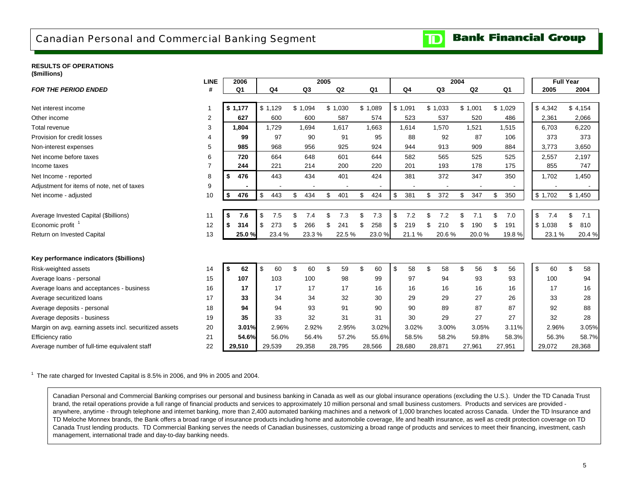### <span id="page-7-0"></span>Canadian Personal and Commercial Banking Segment

**Bank Financial Group**  $\mathbf{D}% _{T}=\mathbf{D}_{T}\!\left( \mathbf{1}_{T}% \mathbf{1}_{T}\mathbf{1}_{T}\mathbf{1}_{T}\mathbf{1}_{T}\mathbf{1}_{T}\mathbf{1}_{T}\mathbf{1}_{T}\mathbf{1}_{T}\mathbf{1}_{T}\mathbf{1}_{T}\mathbf{1}_{T}\mathbf{1}_{T}\mathbf{1}_{T}\mathbf{1}_{T}\mathbf{1}_{T}\mathbf{1}_{T}\mathbf{1}_{T}\mathbf{1}_{T}\mathbf{1}_{T}\mathbf{1}_{T}\mathbf{1}_{T}\mathbf{1}_{T}$ 

#### **RESULTS OF OPERATIONS(\$millions)**

| (שוויווייש)                                            | <b>LINE</b> | 2006           |           |                       | 2005      |           |                | 2004       |                |                |           | <b>Full Year</b> |
|--------------------------------------------------------|-------------|----------------|-----------|-----------------------|-----------|-----------|----------------|------------|----------------|----------------|-----------|------------------|
| <b>FOR THE PERIOD ENDED</b>                            | #           | Q <sub>1</sub> | Q4        | Q3                    | Q2        | Q1        | Q <sub>4</sub> | Q3         | Q <sub>2</sub> | Q <sub>1</sub> | 2005      | 2004             |
| Net interest income                                    | 1           | \$1,177        | \$1,129   | \$1,094               | \$1,030   | \$1,089   | \$1,091        | \$1,033    | \$1,001        | \$1,029        | \$4,342   | \$4,154          |
| Other income                                           | 2           | 627            | 600       | 600                   | 587       | 574       | 523            | 537        | 520            | 486            | 2,361     | 2,066            |
| Total revenue                                          | 3           | 1,804          | 1,729     | 1,694                 | 1,617     | 1,663     | 1,614          | 1,570      | 1,521          | 1,515          | 6,703     | 6,220            |
| Provision for credit losses                            | 4           | 99             | 97        | 90                    | 91        | 95        | 88             | 92         | 87             | 106            | 373       | 373              |
|                                                        |             |                |           |                       |           |           |                |            |                |                |           |                  |
| Non-interest expenses                                  | 5           | 985            | 968       | 956                   | 925       | 924       | 944            | 913        | 909            | 884            | 3,773     | 3,650            |
| Net income before taxes                                | 6           | 720            | 664       | 648                   | 601       | 644       | 582            | 565        | 525            | 525            | 2,557     | 2,197            |
| Income taxes                                           | 7           | 244            | 221       | 214                   | 200       | 220       | 201            | 193        | 178            | 175            | 855       | 747              |
| Net Income - reported                                  | 8           | 476<br>\$      | 443       | 434                   | 401       | 424       | 381            | 372        | 347            | 350            | 1,702     | 1,450            |
| Adjustment for items of note, net of taxes             | 9           |                |           |                       |           |           |                |            |                |                |           |                  |
| Net income - adjusted                                  | 10          | 476<br>\$      | 443<br>\$ | 434<br>\$             | \$<br>401 | \$<br>424 | \$<br>381      | 372<br>\$  | \$<br>347      | 350<br>\$      | \$1,702   | \$1,450          |
|                                                        |             |                |           |                       |           |           |                |            |                |                |           |                  |
| Average Invested Capital (\$billions)                  | 11          | \$<br>7.6      | \$<br>7.5 | $\mathfrak{L}$<br>7.4 | \$<br>7.3 | 7.3<br>\$ | \$<br>7.2      | \$.<br>7.2 | 7.1<br>\$      | \$<br>7.0      | \$<br>7.4 | 7.1<br>\$        |
| Economic profit <sup>1</sup>                           | 12          | \$<br>314      | \$<br>273 | 266<br>\$             | \$<br>241 | 258<br>\$ | \$<br>219      | 210<br>ß.  | 190<br>\$      | 191<br>£.      | \$1,038   | \$<br>810        |
| Return on Invested Capital                             | 13          | 25.0%          | 23.4 %    | 23.3%                 | 22.5%     | 23.0%     | 21.1%          | 20.6%      | 20.0%          | 19.8%          | 23.1 %    | 20.4%            |
|                                                        |             |                |           |                       |           |           |                |            |                |                |           |                  |
| Key performance indicators (\$billions)                |             |                |           |                       |           |           |                |            |                |                |           |                  |
| Risk-weighted assets                                   | 14          | \$<br>62       | \$<br>60  | \$<br>60              | \$<br>59  | £.<br>60  | \$<br>58       | \$.<br>58  | \$<br>56       | \$<br>56       | \$<br>60  | \$<br>58         |
| Average loans - personal                               | 15          | 107            | 103       | 100                   | 98        | 99        | 97             | 94         | 93             | 93             | 100       | 94               |
| Average loans and acceptances - business               | 16          | 17             | 17        | 17                    | 17        | 16        | 16             | 16         | 16             | 16             | 17        | 16               |
| Average securitized loans                              | 17          | 33             | 34        | 34                    | 32        | 30        | 29             | 29         | 27             | 26             | 33        | 28               |
| Average deposits - personal                            | 18          | 94             | 94        | 93                    | 91        | 90        | 90             | 89         | 87             | 87             | 92        | 88               |
| Average deposits - business                            | 19          | 35             | 33        | 32                    | 31        | 31        | 30             | 29         | 27             | 27             | 32        | 28               |
| Margin on avg. earning assets incl. securitized assets | 20          | 3.01%          | 2.96%     | 2.92%                 | 2.95%     | 3.02%     | 3.02%          | 3.00%      | 3.05%          | 3.11%          | 2.96%     | 3.05%            |
| <b>Efficiency ratio</b>                                | 21          | 54.6%          | 56.0%     | 56.4%                 | 57.2%     | 55.6%     | 58.5%          | 58.2%      | 59.8%          | 58.3%          | 56.3%     | 58.7%            |
| Average number of full-time equivalent staff           | 22          | 29,510         | 29,539    | 29,358                | 28,795    | 28,566    | 28,680         | 28,871     | 27,961         | 27,951         | 29,072    | 28,368           |

 $1$  The rate charged for Invested Capital is 8.5% in 2006, and 9% in 2005 and 2004.

Canadian Personal and Commercial Banking comprises our personal and business banking in Canada as well as our global insurance operations (excluding the U.S.). Under the TD Canada Trust brand, the retail operations provide a full range of financial products and services to approximately 10 million personal and small business customers. Products and services are provided anywhere, anytime - through telephone and internet banking, more than 2,400 automated banking machines and a network of 1,000 branches located across Canada. Under the TD Insurance and TD Meloche Monnex brands, the Bank offers a broad range of insurance products including home and automobile coverage, life and health insurance, as well as credit protection coverage on TD Canada Trust lending products. TD Commercial Banking serves the needs of Canadian businesses, customizing a broad range of products and services to meet their financing, investment, cash management, international trade and day-to-day banking needs.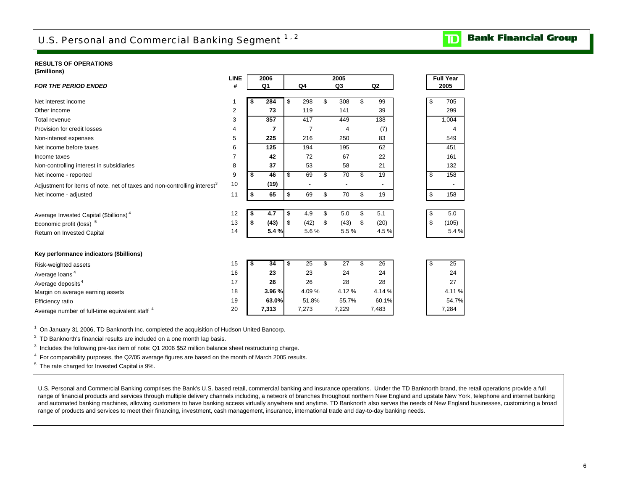## <span id="page-8-0"></span>U.S. Personal and Commercial Banking Segment 1, 2

#### **RESULTS OF OPERATIONS(\$millions)**

| ,,,,,,,,,,,,,,,,,                                                                    | <b>LINE</b> | 2006       |                | 2005       |                |    | <b>Full Year</b> |
|--------------------------------------------------------------------------------------|-------------|------------|----------------|------------|----------------|----|------------------|
| <b>FOR THE PERIOD ENDED</b>                                                          | #           | Q1         | Q4             | Q3         | Q <sub>2</sub> |    | 2005             |
| Net interest income                                                                  |             | 284        | \$<br>298      | \$<br>308  | \$<br>99       | \$ | 705              |
| Other income                                                                         | 2           | 73         | 119            | 141        | 39             |    | 299              |
| Total revenue                                                                        | 3           | 357        | 417            | 449        | 138            |    | 1,004            |
| Provision for credit losses                                                          | 4           | 7          | $\overline{7}$ | 4          | (7)            |    | 4                |
| Non-interest expenses                                                                | 5           | 225        | 216            | 250        | 83             |    | 549              |
| Net income before taxes                                                              | 6           | 125        | 194            | 195        | 62             |    | 451              |
| Income taxes                                                                         | 7           | 42         | 72             | 67         | 22             |    | 161              |
| Non-controlling interest in subsidiaries                                             | 8           | 37         | 53             | 58         | 21             |    | 132              |
| Net income - reported                                                                | 9           | \$<br>46   | \$<br>69       | \$<br>70   | \$<br>19       | \$ | 158              |
| Adjustment for items of note, net of taxes and non-controlling interest <sup>3</sup> | 10          | (19)       |                |            |                |    |                  |
| Net income - adjusted                                                                | 11          | \$<br>65   | \$<br>69       | \$<br>70   | \$<br>19       | \$ | 158              |
| Average Invested Capital (\$billions) <sup>4</sup>                                   | 12          | 4.7        | \$<br>4.9      | \$<br>5.0  | \$<br>5.1      | \$ | 5.0              |
| Economic profit (loss) <sup>5</sup>                                                  | 13          | \$<br>(43) | \$<br>(42)     | \$<br>(43) | \$<br>(20)     | \$ | (105)            |
| Return on Invested Capital                                                           | 14          | 5.4%       | 5.6%           | 5.5%       | 4.5%           |    | 5.4 %            |
| Key performance indicators (\$billions)                                              |             |            |                |            |                |    |                  |
| Risk-weighted assets                                                                 | 15          | \$<br>34   | \$<br>25       | \$<br>27   | \$<br>26       | \$ | 25               |
| Average loans <sup>4</sup>                                                           | 16          | 23         | 23             | 24         | 24             |    | 24               |
| Average deposits <sup>4</sup>                                                        | 17          | 26         | 26             | 28         | 28             |    | 27               |
| Margin on average earning assets                                                     | 18          | 3.96 %     | 4.09%          | 4.12%      | 4.14 %         |    | 4.11%            |
| Efficiency ratio                                                                     | 19          | 63.0%      | 51.8%          | 55.7%      | 60.1%          |    | 54.7%            |
| Average number of full-time equivalent staff 4                                       | 20          | 7,313      | 7,273          | 7,229      | 7,483          |    | 7,284            |

1 On January 31 2006, TD Banknorth Inc. completed the acquisition of Hudson United Bancorp.

 $2$  TD Banknorth's financial results are included on a one month lag basis.

<sup>3</sup> Includes the following pre-tax item of note: Q1 2006 \$52 million balance sheet restructuring charge.

4 For comparability purposes, the Q2/05 average figures are based on the month of March 2005 results.

5 The rate charged for Invested Capital is 9%.

U.S. Personal and Commercial Banking comprises the Bank's U.S. based retail, commercial banking and insurance operations. Under the TD Banknorth brand, the retail operations provide a full range of financial products and services through multiple delivery channels including, a network of branches throughout northern New England and upstate New York, telephone and internet banking and automated banking machines, allowing customers to have banking access virtually anywhere and anytime. TD Banknorth also serves the needs of New England businesses, customizing a broad range of products and services to meet their financing, investment, cash management, insurance, international trade and day-to-day banking needs.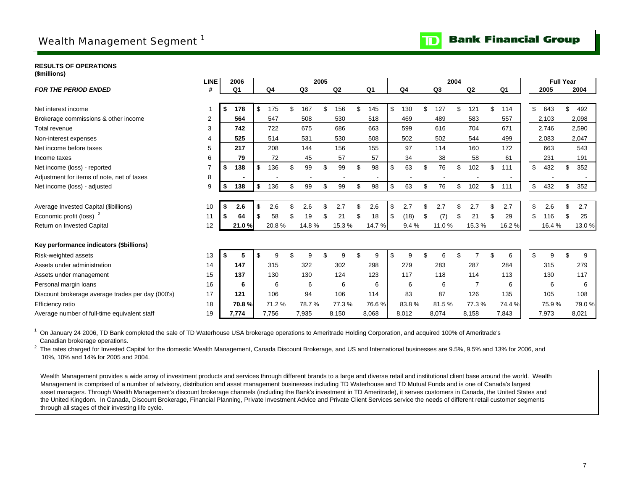## <span id="page-9-0"></span>Wealth Management Segment<sup>1</sup>



**RESULTS OF OPERATIONS(\$millions)**

| (ຈະມານນາດນາ <i>ວ)</i>                             | <b>LINE</b>    | 2006      |     |                |    |                | 2005 |        |                |            |     |       | 2004 |                |           |                           | <b>Full Year</b> |              |       |
|---------------------------------------------------|----------------|-----------|-----|----------------|----|----------------|------|--------|----------------|------------|-----|-------|------|----------------|-----------|---------------------------|------------------|--------------|-------|
| <b>FOR THE PERIOD ENDED</b>                       | #              | Q1        |     | Q <sub>4</sub> |    | Q <sub>3</sub> |      | Q2     | Q <sub>1</sub> | Q4         |     | Q3    |      | Q2             | Q1        |                           | 2005             |              | 2004  |
|                                                   |                |           |     |                |    |                |      |        |                |            |     |       |      |                |           |                           |                  |              |       |
| Net interest income                               | 1              | \$<br>178 | \$  | 175            | \$ | 167            | ٩    | 156    | \$<br>145      | \$<br>130  |     | 127   |      | 121            | \$<br>114 | \$                        | 643              |              | 492   |
| Brokerage commissions & other income              | 2              | 564       |     | 547            |    | 508            |      | 530    | 518            | 469        |     | 489   |      | 583            | 557       |                           | 2,103            |              | 2,098 |
| Total revenue                                     | 3              | 742       |     | 722            |    | 675            |      | 686    | 663            | 599        |     | 616   |      | 704            | 671       |                           | 2,746            |              | 2,590 |
| Non-interest expenses                             | 4              | 525       |     | 514            |    | 531            |      | 530    | 508            | 502        |     | 502   |      | 544            | 499       |                           | 2,083            |              | 2,047 |
| Net income before taxes                           | 5              | 217       |     | 208            |    | 144            |      | 156    | 155            | 97         |     | 114   |      | 160            | 172       |                           | 663              |              | 543   |
| Income taxes                                      | 6              | 79        |     | 72             |    | 45             |      | 57     | 57             | 34         |     | 38    |      | 58             | 61        |                           | 231              |              | 191   |
| Net income (loss) - reported                      | $\overline{7}$ | \$<br>138 | \$  | 136            |    | 99             | \$   | 99     | \$<br>98       | \$<br>63   | \$  | 76    | \$   | 102            | \$<br>111 | $\boldsymbol{\mathsf{S}}$ | 432              | \$           | 352   |
| Adjustment for items of note, net of taxes        | 8              |           |     |                |    |                |      |        |                |            |     |       |      |                |           |                           |                  |              |       |
| Net income (loss) - adjusted                      | 9              | \$<br>138 | \$  | 136            | \$ | 99             | \$   | 99     | \$<br>98       | \$<br>63   | \$. | 76    | \$   | 102            | \$<br>111 | \$                        | 432              | \$           | 352   |
|                                                   |                |           |     |                |    |                |      |        |                |            |     |       |      |                |           |                           |                  |              |       |
| Average Invested Capital (\$billions)             | 10             | \$<br>2.6 | \$. | 2.6            | ደ  | 2.6            | \$   | 2.7    | \$<br>2.6      | \$<br>2.7  |     | 2.7   |      | 2.7            | \$<br>2.7 | \$                        | 2.6              | $\mathbf{S}$ | 2.7   |
| Economic profit (loss) <sup>2</sup>               | 11             | \$<br>64  |     | 58             |    | 19             |      | 21     | \$<br>18       | \$<br>(18) | \$  | (7)   |      | 21             | \$<br>29  | \$                        | 116              | ß.           | 25    |
| Return on Invested Capital                        | 12             | 21.0%     |     | 20.8%          |    | 14.8%          |      | 15.3 % | 14.7 %         | 9.4%       |     | 11.0% |      | 15.3%          | 16.2%     |                           | 16.4 %           |              | 13.0% |
|                                                   |                |           |     |                |    |                |      |        |                |            |     |       |      |                |           |                           |                  |              |       |
| Key performance indicators (\$billions)           |                |           |     |                |    |                |      |        |                |            |     |       |      |                |           |                           |                  |              |       |
| Risk-weighted assets                              | 13             | \$        | \$  | 9              |    | g              | £.   | 9      | \$<br>9        | \$<br>9    |     | 6     |      |                | \$<br>6   | \$                        | 9                | \$.          | 9     |
| Assets under administration                       | 14             | 147       |     | 315            |    | 322            |      | 302    | 298            | 279        |     | 283   |      | 287            | 284       |                           | 315              |              | 279   |
| Assets under management                           | 15             | 137       |     | 130            |    | 130            |      | 124    | 123            | 117        |     | 118   |      | 114            | 113       |                           | 130              |              | 117   |
| Personal margin loans                             | 16             | 6         |     | 6              |    | 6              |      | 6      | 6              | 6          |     | 6     |      | $\overline{7}$ | 6         |                           | 6                |              | 6     |
| Discount brokerage average trades per day (000's) | 17             | 121       |     | 106            |    | 94             |      | 106    | 114            | 83         |     | 87    |      | 126            | 135       |                           | 105              |              | 108   |
| Efficiency ratio                                  | 18             | 70.8%     |     | 71.2%          |    | 78.7%          |      | 77.3 % | 76.6%          | 83.8%      |     | 81.5% |      | 77.3%          | 74.4 %    |                           | 75.9%            |              | 79.0% |
| Average number of full-time equivalent staff      | 19             | 7,774     |     | 7,756          |    | 7,935          |      | 8,150  | 8,068          | 8,012      |     | 8,074 |      | 8,158          | 7,843     |                           | 7,973            |              | 8,021 |
|                                                   |                |           |     |                |    |                |      |        |                |            |     |       |      |                |           |                           |                  |              |       |

 $1$  On January 24 2006, TD Bank completed the sale of TD Waterhouse USA brokerage operations to Ameritrade Holding Corporation, and acquired 100% of Ameritrade's Canadian brokerage operations.

<sup>2</sup> The rates charged for Invested Capital for the domestic Wealth Management, Canada Discount Brokerage, and US and International businesses are 9.5%, 9.5% and 13% for 2006, and 10%, 10% and 14% for 2005 and 2004.

Wealth Management provides a wide array of investment products and services through different brands to a large and diverse retail and institutional client base around the world. Wealth Management is comprised of a number of advisory, distribution and asset management businesses including TD Waterhouse and TD Mutual Funds and is one of Canada's largest asset managers. Through Wealth Management's discount brokerage channels (including the Bank's investment in TD Ameritrade), it serves customers in Canada, the United States and the United Kingdom. In Canada, Discount Brokerage, Financial Planning, Private Investment Advice and Private Client Services service the needs of different retail customer segments through all stages of their investing life cycle.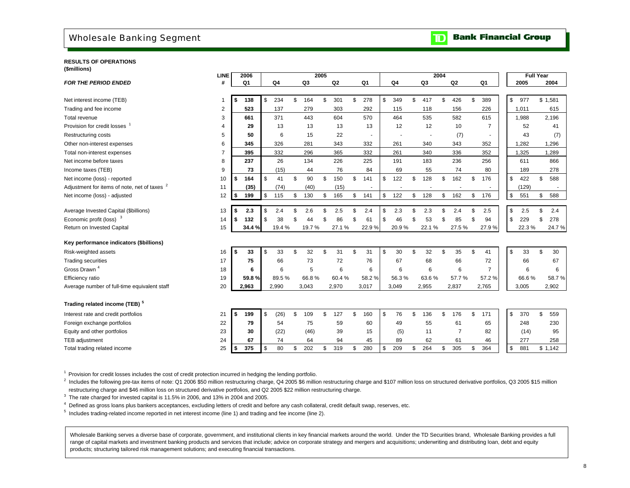### <span id="page-10-0"></span>Wholesale Banking Segment

**RESULTS OF OPERATIONS(\$millions)**

|                                                         | <b>LINE</b>    | 2006           |            |           | 2005 |                |                          |           |           | 2004 |                |                | <b>Full Year</b> |           |
|---------------------------------------------------------|----------------|----------------|------------|-----------|------|----------------|--------------------------|-----------|-----------|------|----------------|----------------|------------------|-----------|
| <b>FOR THE PERIOD ENDED</b>                             | #              | Q <sub>1</sub> | Q4         | Q3        |      | Q <sub>2</sub> | Q <sub>1</sub>           | Q4        | Q3        |      | Q <sub>2</sub> | Q <sub>1</sub> | 2005             | 2004      |
|                                                         |                |                |            |           |      |                |                          |           |           |      |                |                |                  |           |
| Net interest income (TEB)                               | -1             | \$<br>138      | \$<br>234  | \$<br>164 | \$   | 301            | \$<br>278                | \$<br>349 | \$<br>417 | \$   | 426            | \$<br>389      | \$<br>977        | \$1,581   |
| Trading and fee income                                  | 2              | 523            | 137        | 279       |      | 303            | 292                      | 115       | 118       |      | 156            | 226            | 1,011            | 615       |
| Total revenue                                           | 3              | 661            | 371        | 443       |      | 604            | 570                      | 464       | 535       |      | 582            | 615            | 1,988            | 2,196     |
| Provision for credit losses <sup>1</sup>                | 4              | 29             | 13         | 13        |      | 13             | 13                       | 12        | 12        |      | 10             | $\overline{7}$ | 52               | 41        |
| <b>Restructuring costs</b>                              | 5              | 50             | 6          | 15        |      | 22             | $\sim$                   |           |           |      | (7)            |                | 43               | (7)       |
| Other non-interest expenses                             | 6              | 345            | 326        | 281       |      | 343            | 332                      | 261       | 340       |      | 343            | 352            | 1,282            | 1,296     |
| Total non-interest expenses                             | $\overline{7}$ | 395            | 332        | 296       |      | 365            | 332                      | 261       | 340       |      | 336            | 352            | 1,325            | 1,289     |
| Net income before taxes                                 | 8              | 237            | 26         | 134       |      | 226            | 225                      | 191       | 183       |      | 236            | 256            | 611              | 866       |
| Income taxes (TEB)                                      | 9              | 73             | (15)       | 44        |      | 76             | 84                       | 69        | 55        |      | 74             | 80             | 189              | 278       |
| Net income (loss) - reported                            | 10             | \$<br>164      | \$<br>41   | \$<br>90  | \$   | 150            | \$<br>141                | \$<br>122 | \$<br>128 | \$   | 162            | \$<br>176      | \$<br>422        | \$<br>588 |
| Adjustment for items of note, net of taxes <sup>2</sup> | 11             | (35)           | (74)       | (40)      |      | (15)           | $\overline{\phantom{a}}$ |           |           |      |                |                | (129)            |           |
| Net income (loss) - adjusted                            | 12             | \$<br>199      | \$<br>115  | \$<br>130 | \$   | 165            | \$<br>141                | \$<br>122 | \$<br>128 | \$   | 162            | \$<br>176      | \$<br>551        | \$<br>588 |
|                                                         |                |                |            |           |      |                |                          |           |           |      |                |                |                  |           |
| Average Invested Capital (\$billions)                   | 13             | \$<br>2.3      | \$<br>2.4  | \$<br>2.6 | \$   | 2.5            | \$<br>2.4                | \$<br>2.3 | \$<br>2.3 | \$   | 2.4            | \$<br>2.5      | \$<br>2.5        | \$<br>2.4 |
| Economic profit (loss) <sup>3</sup>                     | 14             | \$<br>132      | \$<br>38   | \$<br>44  | \$   | 86             | \$<br>61                 | \$<br>46  | \$<br>53  | £    | 85             | \$<br>94       | \$<br>229        | \$<br>278 |
| Return on Invested Capital                              | 15             | 34.4 %         | 19.4 %     | 19.7%     |      | 27.1%          | 22.9%                    | 20.9%     | 22.1%     |      | 27.5%          | 27.9%          | 22.3%            | 24.7%     |
| Key performance indicators (\$billions)                 |                |                |            |           |      |                |                          |           |           |      |                |                |                  |           |
| Risk-weighted assets                                    | 16             | \$<br>33       | \$<br>33   | \$<br>32  | \$   | 31             | \$<br>31                 | \$<br>30  | \$<br>32  | \$   | 35             | \$<br>41       | \$<br>33         | \$<br>30  |
| <b>Trading securities</b>                               | 17             | 75             | 66         | 73        |      | 72             | 76                       | 67        | 68        |      | 66             | 72             | 66               | 67        |
| Gross Drawn <sup>4</sup>                                | 18             | 6              | 6          | 5         |      | 6              | 6                        | 6         | 6         |      | 6              | $\overline{7}$ | 6                | 6         |
| Efficiency ratio                                        | 19             | 59.8%          | 89.5%      | 66.8%     |      | 60.4%          | 58.2%                    | 56.3%     | 63.6%     |      | 57.7%          | 57.2%          | 66.6%            | 58.7%     |
| Average number of full-time equivalent staff            | 20             | 2,963          | 2,990      | 3,043     |      | 2,970          | 3,017                    | 3,049     | 2,955     |      | 2,837          | 2,765          | 3,005            | 2,902     |
|                                                         |                |                |            |           |      |                |                          |           |           |      |                |                |                  |           |
| Trading related income (TEB) <sup>5</sup>               |                |                |            |           |      |                |                          |           |           |      |                |                |                  |           |
| Interest rate and credit portfolios                     | 21             | \$<br>199      | \$<br>(26) | \$<br>109 | \$   | 127            | \$<br>160                | \$<br>76  | \$<br>136 | \$   | 176            | \$<br>171      | \$<br>370        | \$<br>559 |
| Foreign exchange portfolios                             | 22             | 79             | 54         | 75        |      | 59             | 60                       | 49        | 55        |      | 61             | 65             | 248              | 230       |
| Equity and other portfolios                             | 23             | 30             | (22)       | (46)      |      | 39             | 15                       | (5)       | 11        |      | $\overline{7}$ | 82             | (14)             | 95        |
| TEB adjustment                                          | 24             | 67             | 74         | 64        |      | 94             | 45                       | 89        | 62        |      | 61             | 46             | 277              | 258       |
| Total trading related income                            | 25             | \$<br>375      | \$<br>80   | \$<br>202 | \$   | 319            | \$<br>280                | \$<br>209 | \$<br>264 | \$   | 305            | \$<br>364      | \$<br>881        | \$1,142   |
|                                                         |                |                |            |           |      |                |                          |           |           |      |                |                |                  |           |

<sup>1</sup> Provision for credit losses includes the cost of credit protection incurred in hedging the lending portfolio.

 $^2$  Includes the following pre-tax items of note: Q1 2006 \$50 million restructuring charge, Q4 2005 \$6 million restructuring charge and \$107 million loss on structured derivative portfolios, Q3 2005 \$15 million restructuring charge and \$46 million loss on structured derivative portfolios, and Q2 2005 \$22 million restructuring charge.

<sup>3</sup> The rate charged for invested capital is 11.5% in 2006, and 13% in 2004 and 2005.

4 Defined as gross loans plus bankers acceptances, excluding letters of credit and before any cash collateral, credit default swap, reserves, etc.

5 Includes trading-related income reported in net interest income (line 1) and trading and fee income (line 2).

Wholesale Banking serves a diverse base of corporate, government, and institutional clients in key financial markets around the world. Under the TD Securities brand, Wholesale Banking provides a full range of capital markets and investment banking products and services that include; advice on corporate strategy and mergers and acquisitions; underwriting and distributing loan, debt and equity products; structuring tailored risk management solutions; and executing financial transactions.

#### **Bank Financial Group**  $\mathbf{D}% _{T}=\mathbf{D}_{T}\!\left( a,b\right) ,\ \mathbf{D}_{T}=\mathbf{D}_{T}\!\left( a,b\right) ,\ \mathbf{D}_{T}=\mathbf{D}_{T}\!\left( a,b\right) , \label{eq-dm:nonline}$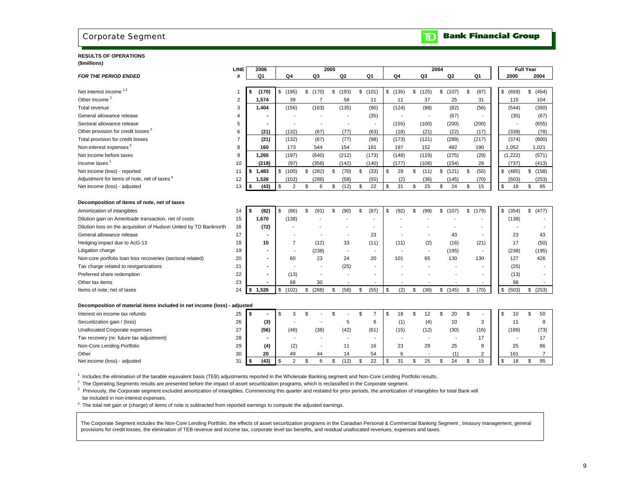### <span id="page-11-0"></span>Corporate Segment

#### **RESULTS OF OPERATIONS(\$millions)**

|                                                                          | <b>LINE</b>    | 2006           |                      |                | 2005                     |                          |                          |                          | 2004                     |                            |    |             | <b>Full Year</b> |
|--------------------------------------------------------------------------|----------------|----------------|----------------------|----------------|--------------------------|--------------------------|--------------------------|--------------------------|--------------------------|----------------------------|----|-------------|------------------|
| <b>FOR THE PERIOD ENDED</b>                                              | #              | Q1             | Q4                   | Q3             | Q <sub>2</sub>           | Q1                       | Q4                       | Q3                       | Q <sub>2</sub>           | Q1                         |    | 2005        | 2004             |
|                                                                          |                |                |                      |                |                          |                          |                          |                          |                          |                            |    |             |                  |
| Net interest income <sup>1,2</sup>                                       | -1             | \$<br>(170)    | $$$ (195)            | \$(170)        | \$<br>(193)              | \$<br>(101)              | \$(135)                  | \$(125)                  | \$(107)                  | \$<br>(87)                 |    | \$ (659)    | \$ (454)         |
| Other Income <sup>2</sup>                                                | $\overline{c}$ | 1,574          | 39                   | $\overline{7}$ | 58                       | 11                       | 11                       | 37                       | 25                       | 31                         |    | 115         | 104              |
| Total revenue                                                            | 3              | 1,404          | (156)                | (163)          | (135)                    | (90)                     | (124)                    | (88)                     | (82)                     | (56)                       |    | (544)       | (350)            |
| General allowance release                                                | 4              |                |                      |                |                          | (35)                     |                          | $\overline{\phantom{a}}$ | (67)                     |                            |    | (35)        | (67)             |
| Sectoral allowance release                                               | 5              |                |                      | $\blacksquare$ | $\overline{a}$           | $\overline{\phantom{a}}$ | (155)                    | (100)                    | (200)                    | (200)                      |    |             | (655)            |
| Other provision for credit losses <sup>2</sup>                           | 6              | (21)           | (132)                | (67)           | (77)                     | (63)                     | (18)                     | (21)                     | (22)                     | (17)                       |    | (339)       | (78)             |
| Total provision for credit losses                                        | 7              | (21)           | (132)                | (67)           | (77)                     | (98)                     | (173)                    | (121)                    | (289)                    | (217)                      |    | (374)       | (800)            |
| Non-interest expenses <sup>3</sup>                                       | 8              | 160            | 173                  | 544            | 154                      | 181                      | 197                      | 152                      | 482                      | 190                        |    | 1,052       | 1,021            |
| Net income before taxes                                                  | 9              | 1,265          | (197)                | (640)          | (212)                    | (173)                    | (148)                    | (119)                    | (275)                    | (29)                       |    | (1, 222)    | (571)            |
| Income taxes <sup>1</sup>                                                | 10             | (218)          | (97)                 | (358)          | (142)                    | (140)                    | (177)                    | (108)                    | (154)                    | 26                         |    | (737)       | (413)            |
| Net income (loss) - reported                                             | 11             | \$1,483        | \$<br>(100)          | \$<br>(282)    | \$<br>(70)               | \$<br>(33)               | \$<br>29                 | \$<br>(11)               | \$(121)                  | \$<br>(55)                 |    | \$<br>(485) | \$(158)          |
| Adjustment for items of note, net of taxes 4                             | 12             | 1.526          | (102)                | (288)          | (58)                     | (55)                     | (2)                      | (36)                     | (145)                    | (70)                       |    | (503)       | (253)            |
| Net income (loss) - adjusted                                             | 13             | \$<br>(43)     | \$<br>2              | \$<br>6        | (12)<br>\$               | \$<br>22                 | \$<br>31                 | \$<br>25                 | \$<br>24                 | \$<br>15                   | \$ | 18          | \$<br>95         |
| Decomposition of items of note, net of taxes                             |                |                |                      |                |                          |                          |                          |                          |                          |                            |    |             |                  |
| Amortization of intangibles                                              | 14             | \$<br>(82)     | \$<br>(86)           | \$<br>(91)     | \$<br>(90)               | \$<br>(87)               | \$<br>(92)               | \$<br>(99)               | \$(107)                  | \$<br>(179)                |    | \$ (354)    | \$<br>(477)      |
| Dilution gain on Ameritrade transaction, net of costs                    | 15             | 1,670          | (138)                |                |                          |                          |                          |                          |                          |                            |    | (138)       |                  |
| Dilution loss on the acquisition of Hudson United by TD Banknorth        | 16             | (72)           |                      |                |                          |                          |                          |                          |                          |                            |    |             |                  |
| General allowance release                                                | 17             |                |                      |                |                          | 23                       |                          |                          | 43                       |                            |    | 23          | 43               |
| Hedging impact due to AcG-13                                             | 18             | 10             | $\overline{7}$       | (12)           | 33                       | (11)                     | (11)                     | (2)                      | (16)                     | (21)                       |    | 17          | (50)             |
| Litigation charge                                                        | 19             |                |                      | (238)          |                          |                          |                          |                          | (195)                    |                            |    | (238)       | (195)            |
| Non-core portfolio loan loss recoveries (sectoral related)               | 20             |                | 60                   | 23             | 24                       | 20                       | 101                      | 65                       | 130                      | 130                        |    | 127         | 426              |
| Tax charge related to reorganizations                                    | 21             |                |                      |                | (25)                     |                          |                          |                          |                          |                            |    | (25)        |                  |
| Preferred share redemption                                               | 22             | $\blacksquare$ | (13)                 |                |                          |                          |                          |                          |                          |                            |    | (13)        |                  |
| Other tax items                                                          | 23             |                | 68                   | 30             | $\overline{\phantom{a}}$ |                          |                          |                          |                          |                            |    | 98          |                  |
| Items of note, net of taxes                                              | 24             | 1,526<br>\$    | \$<br>(102)          | \$ (288)       | (58)<br>\$               | \$<br>(55)               | \$<br>(2)                | \$<br>(36)               | \$<br>(145)              | \$<br>(70)                 |    | \$<br>(503) | \$<br>(253)      |
| Decomposition of material items included in net income (loss) - adjusted |                |                |                      |                |                          |                          |                          |                          |                          |                            |    |             |                  |
| Interest on income tax refunds                                           | 25             | \$             | \$<br>3              | \$             | \$                       | \$<br>7                  | \$<br>18                 | \$<br>12                 | \$<br>20                 | \$                         | S  | 10          | \$<br>50         |
| Securitization gain / (loss)                                             | 26             | (3)            |                      |                | 5                        | 6                        | (1)                      | (4)                      | 10                       | 3                          |    | 11          | 8                |
| <b>Unallocated Corporate expenses</b>                                    | 27             | (56)           | (48)                 | (38)           | (42)                     | (61)                     | (15)                     | (12)                     | (30)                     | (16)                       |    | (189)       | (73)             |
| Tax recovery (re: future tax adjustment)                                 | 28             |                |                      |                | $\overline{\phantom{a}}$ | $\overline{\phantom{a}}$ | $\overline{\phantom{a}}$ |                          | $\overline{\phantom{a}}$ | 17                         |    |             | 17               |
| Non-Core Lending Portfolio                                               | 29             |                | (2)                  | $\overline{a}$ | 11                       | 16                       | 23                       | 29                       | 25                       | 9                          |    | 25          | 86               |
|                                                                          |                | (4)<br>20      | 49                   |                |                          |                          | 6                        | $\overline{\phantom{a}}$ | (1)                      |                            |    | 161         | $\overline{7}$   |
| Other<br>Net income (loss) - adjusted                                    | 30<br>31       | (43)<br>\$     | \$<br>$\overline{2}$ | 44<br>\$<br>6  | 14<br>(12)<br>\$         | 54<br>22<br>\$           | \$<br>31                 | \$<br>25                 | \$<br>24                 | $\overline{2}$<br>\$<br>15 | \$ | 18          | 95<br>\$         |
|                                                                          |                |                |                      |                |                          |                          |                          |                          |                          |                            |    |             |                  |

<sup>1</sup> Includes the elimination of the taxable equivalent basis (TEB) adjustments reported in the Wholesale Banking segment and Non-Core Lending Portfolio results.

 $2$  The Operating Segments results are presented before the impact of asset securitization programs, which is reclassified in the Corporate segment.

<sup>3</sup> Previously, the Corporate segment excluded amortization of intangibles. Commencing this quarter and restated for prior periods, the amortization of intangibles for total Bank will be included in non-interest expenses.

4 The total net gain or (charge) of items of note is subtracted from reported earnings to compute the adjusted earnings.

The Corporate Segment includes the Non-Core Lending Portfolio, the effects of asset securitization programs in the Canadian Personal & Commercial Banking Segment, treasury management, general provisions for credit losses, the elimination of TEB revenue and income tax, corporate level tax benefits, and residual unallocated revenues, expenses and taxes.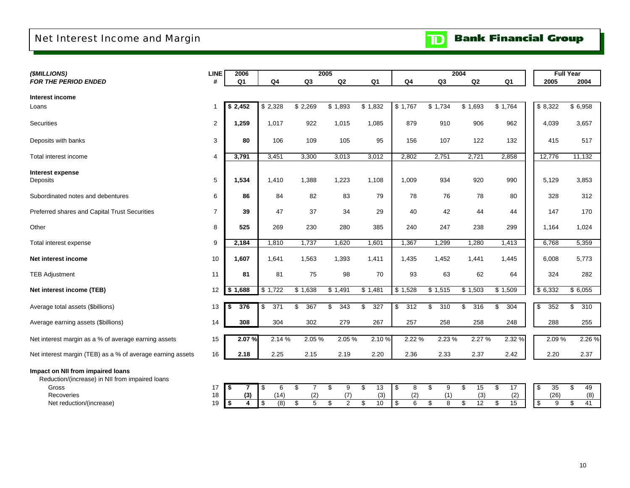## <span id="page-12-0"></span>Net Interest Income and Margin

| (\$MILLIONS)                                               | <b>LINE</b>    | 2006           |                |                        | 2005                   |                        |                |           | 2004      |                |                      | <b>Full Year</b> |
|------------------------------------------------------------|----------------|----------------|----------------|------------------------|------------------------|------------------------|----------------|-----------|-----------|----------------|----------------------|------------------|
| <b>FOR THE PERIOD ENDED</b>                                | #              | Q <sub>1</sub> | Q <sub>4</sub> | Q <sub>3</sub>         | Q2                     | Q <sub>1</sub>         | Q <sub>4</sub> | Q3        | Q2        | Q <sub>1</sub> | 2005                 | 2004             |
|                                                            |                |                |                |                        |                        |                        |                |           |           |                |                      |                  |
| Interest income                                            |                |                |                |                        |                        |                        |                |           |           |                |                      |                  |
| Loans                                                      | $\mathbf{1}$   | 2,452<br>S     | \$2,328        | \$2,269                | \$1,893                | \$1,832                | \$1,767        | \$1,734   | \$1,693   | \$1,764        | \$8,322              | \$6,958          |
| <b>Securities</b>                                          | $\overline{2}$ | 1,259          | 1,017          | 922                    | 1,015                  | 1,085                  | 879            | 910       | 906       | 962            |                      |                  |
|                                                            |                |                |                |                        |                        |                        |                |           |           |                | 4,039                | 3,657            |
| Deposits with banks                                        | 3              | 80             | 106            | 109                    | 105                    | 95                     | 156            | 107       | 122       | 132            | 415                  | 517              |
|                                                            |                |                |                |                        |                        |                        |                |           |           |                |                      |                  |
| Total interest income                                      | 4              | 3,791          | 3,451          | 3,300                  | 3,013                  | 3,012                  | 2,802          | 2,751     | 2,721     | 2,858          | 12,776               | 11,132           |
|                                                            |                |                |                |                        |                        |                        |                |           |           |                |                      |                  |
| Interest expense                                           |                |                |                |                        |                        |                        |                |           |           |                |                      |                  |
| Deposits                                                   | $\overline{5}$ | 1,534          | 1,410          | 1,388                  | 1,223                  | 1,108                  | 1,009          | 934       | 920       | 990            | 5,129                | 3,853            |
|                                                            |                |                |                |                        |                        | 79                     |                | 76        |           |                |                      |                  |
| Subordinated notes and debentures                          | 6              | 86             | 84             | 82                     | 83                     |                        | 78             |           | 78        | 80             | 328                  | 312              |
| Preferred shares and Capital Trust Securities              | $\overline{7}$ | 39             | 47             | 37                     | 34                     | 29                     | 40             | 42        | 44        | 44             | 147                  | 170              |
|                                                            |                |                |                |                        |                        |                        |                |           |           |                |                      |                  |
| Other                                                      | 8              | 525            | 269            | 230                    | 280                    | 385                    | 240            | 247       | 238       | 299            | 1,164                | 1,024            |
|                                                            |                |                |                |                        |                        |                        |                |           |           |                |                      |                  |
| Total interest expense                                     | 9              | 2,184          | 1,810          | 1,737                  | 1,620                  | 1,601                  | 1,367          | 1,299     | 1,280     | 1,413          | 6,768                | 5,359            |
| Net interest income                                        | 10             | 1.607          | 1,641          | 1,563                  | 1,393                  | 1,411                  | 1,435          | 1,452     | 1,441     | 1,445          | 6,008                | 5,773            |
|                                                            |                |                |                |                        |                        |                        |                |           |           |                |                      |                  |
| <b>TEB Adjustment</b>                                      | 11             | 81             | 81             | 75                     | 98                     | 70                     | 93             | 63        | 62        | 64             | 324                  | 282              |
|                                                            |                |                |                |                        |                        |                        |                |           |           |                |                      |                  |
| Net interest income (TEB)                                  | 12             | \$1,688        | \$1,722        | \$1,638                | \$1,491                | \$1,481                | \$1,528        | \$1,515   | \$1,503   | \$1,509        | \$6,332              | \$6,055          |
|                                                            |                |                |                |                        |                        |                        |                |           |           |                |                      |                  |
| Average total assets (\$billions)                          | 13             | 376            | 371<br>\$      | $\overline{367}$<br>\$ | $\overline{343}$<br>\$ | $\overline{327}$<br>\$ | \$<br>312      | 310<br>\$ | 316<br>\$ | \$<br>304      | \$<br>352            | \$<br>310        |
| Average earning assets (\$billions)                        | 14             | 308            | 304            | 302                    | 279                    | 267                    | 257            | 258       | 258       | 248            | 288                  | 255              |
|                                                            |                |                |                |                        |                        |                        |                |           |           |                |                      |                  |
| Net interest margin as a % of average earning assets       | 15             | 2.07%          | 2.14%          | 2.05 %                 | 2.05%                  | 2.10%                  | 2.22 %         | 2.23 %    | 2.27 %    | 2.32 %         | 2.09%                | 2.26 %           |
|                                                            |                |                |                |                        |                        |                        |                |           |           |                |                      |                  |
| Net interest margin (TEB) as a % of average earning assets | 16             | 2.18           | 2.25           | 2.15                   | 2.19                   | 2.20                   | 2.36           | 2.33      | 2.37      | 2.42           | 2.20                 | 2.37             |
|                                                            |                |                |                |                        |                        |                        |                |           |           |                |                      |                  |
| Impact on NII from impaired loans                          |                |                |                |                        |                        |                        |                |           |           |                |                      |                  |
| Reduction/(increase) in NII from impaired loans            |                |                |                |                        |                        |                        |                |           |           |                |                      |                  |
| Gross                                                      | 17             | -\$            | 6<br>\$        | \$<br>$\overline{7}$   | \$<br>9                | 13<br>\$               | \$<br>8        | \$<br>9   | 15<br>\$  | \$<br>17       | \$<br>35             | \$<br>49         |
| Recoveries                                                 | 18             | (3)            | (14)           | (2)                    | (7)                    | (3)                    | (2)            | (1)       | (3)       | (2)            | (26)                 | (8)              |
| Net reduction/(increase)                                   | 19             | \$<br>4        | (8)<br>\$      | \$<br>$\overline{5}$   | S<br>$\overline{2}$    | 10<br>\$               | 6<br>\$        | \$<br>8   | 12<br>\$  | \$<br>15       | s)<br>$\overline{9}$ | \$<br>41         |

10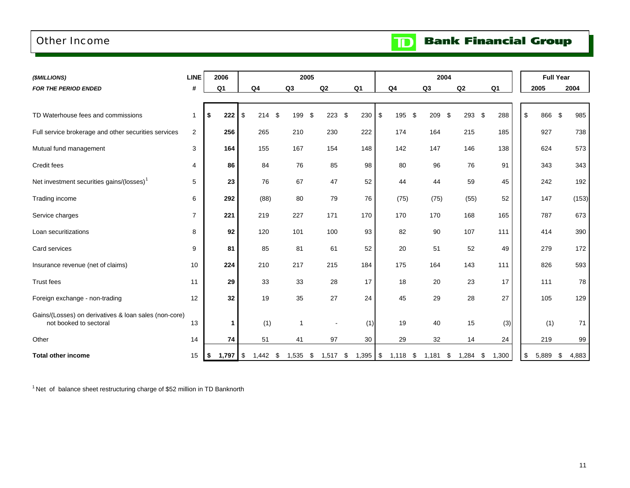### <span id="page-13-0"></span>Other Income

**Bank Financial Group**  $\mathbf{D}$ 

| (\$MILLIONS)                                                                    | <b>LINE</b>    | 2006           |                    |                | 2005             |                |                   | 2004           |             |                |             | <b>Full Year</b> |       |
|---------------------------------------------------------------------------------|----------------|----------------|--------------------|----------------|------------------|----------------|-------------------|----------------|-------------|----------------|-------------|------------------|-------|
| <b>FOR THE PERIOD ENDED</b>                                                     | #              | Q <sub>1</sub> | Q4                 | Q <sub>3</sub> | Q2               | Q <sub>1</sub> | Q <sub>4</sub>    | Q <sub>3</sub> | Q2          | Q <sub>1</sub> | 2005        |                  | 2004  |
|                                                                                 |                |                |                    |                |                  |                |                   |                |             |                |             |                  |       |
| TD Waterhouse fees and commissions                                              | $\mathbf{1}$   | 222<br>\$      | 214S<br>\$         | 199            | 223<br>\$        | \$<br>230      | $\sqrt{3}$<br>195 | \$<br>209      | 293<br>-\$  | 288<br>\$      | \$          | 866<br>\$        | 985   |
| Full service brokerage and other securities services                            | $\overline{2}$ | 256            | 265                | 210            | 230              | 222            | 174               | 164            | 215         | 185            |             | 927              | 738   |
| Mutual fund management                                                          | 3              | 164            | 155                | 167            | 154              | 148            | 142               | 147            | 146         | 138            |             | 624              | 573   |
| Credit fees                                                                     | 4              | 86             | 84                 | 76             | 85               | 98             | 80                | 96             | 76          | 91             |             | 343              | 343   |
| Net investment securities gains/(losses) <sup>1</sup>                           | 5              | 23             | 76                 | 67             | 47               | 52             | 44                | 44             | 59          | 45             |             | 242              | 192   |
| Trading income                                                                  | 6              | 292            | (88)               | 80             | 79               | 76             | (75)              | (75)           | (55)        | 52             |             | 147              | (153) |
| Service charges                                                                 | $\overline{7}$ | 221            | 219                | 227            | 171              | 170            | 170               | 170            | 168         | 165            |             | 787              | 673   |
| Loan securitizations                                                            | 8              | 92             | 120                | 101            | 100              | 93             | 82                | 90             | 107         | 111            |             | 414              | 390   |
| Card services                                                                   | 9              | 81             | 85                 | 81             | 61               | 52             | 20                | 51             | 52          | 49             |             | 279              | 172   |
| Insurance revenue (net of claims)                                               | 10             | 224            | 210                | 217            | 215              | 184            | 175               | 164            | 143         | 111            |             | 826              | 593   |
| Trust fees                                                                      | 11             | 29             | 33                 | 33             | 28               | 17             | 18                | 20             | 23          | 17             |             | 111              | 78    |
| Foreign exchange - non-trading                                                  | 12             | 32             | 19                 | 35             | 27               | 24             | 45                | 29             | 28          | 27             |             | 105              | 129   |
| Gains/(Losses) on derivatives & loan sales (non-core)<br>not booked to sectoral | 13             | 1              | (1)                | 1              |                  | (1)            | 19                | 40             | 15          | (3)            |             | (1)              | 71    |
| Other                                                                           | 14             | 74             | 51                 | 41             | 97               | 30             | 29                | 32             | 14          | 24             |             | 219              | 99    |
| <b>Total other income</b>                                                       | 15             | 1,797<br>\$    | l \$<br>$1,442$ \$ | 1,535          | $1,517$ \$<br>\$ | $1,395$ \$     | 1,118             | \$<br>1,181    | 1,284<br>\$ | 1,300<br>\$    | 5,889<br>\$ | \$               | 4,883 |

1 Net of balance sheet restructuring charge of \$52 million in TD Banknorth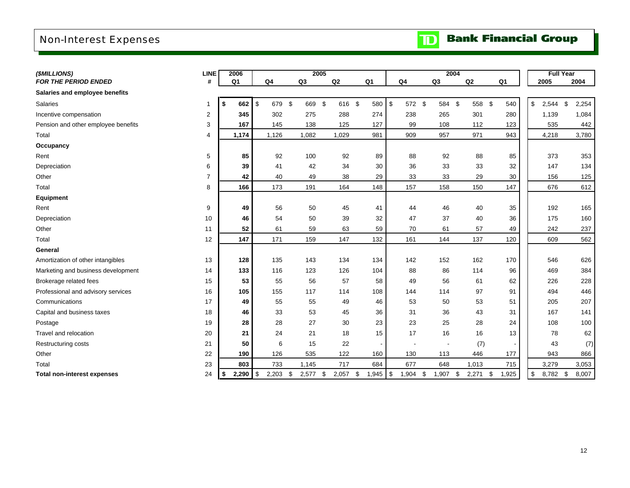## <span id="page-14-0"></span>Non-Interest Expenses

| <b>TD</b> Bank Financial Group |
|--------------------------------|
|                                |

| (\$MILLIONS)                        | <b>LINE</b>    | 2006             |    |                |            | 2005           |             |        |                |               |        |    | 2004  |             |     |                |               | <b>Full Year</b> |             |
|-------------------------------------|----------------|------------------|----|----------------|------------|----------------|-------------|--------|----------------|---------------|--------|----|-------|-------------|-----|----------------|---------------|------------------|-------------|
| <b>FOR THE PERIOD ENDED</b>         | #              | Q <sub>1</sub>   |    | Q <sub>4</sub> |            | Q <sub>3</sub> | Q2          |        | Q <sub>1</sub> |               | Q4     | Q3 |       | Q2          |     | Q <sub>1</sub> |               | 2005             | 2004        |
| Salaries and employee benefits      |                |                  |    |                |            |                |             |        |                |               |        |    |       |             |     |                |               |                  |             |
| Salaries                            |                | \$<br>662        |    | \$<br>679      | $\sqrt{3}$ | 669            | \$          | 616 \$ | 580            | $\sqrt[6]{3}$ | 572 \$ |    | 584   | \$<br>558   | -\$ | 540            | \$            | 2,544            | \$<br>2,254 |
| Incentive compensation              | $\overline{2}$ | 345              |    | 302            |            | 275            | 288         |        | 274            |               | 238    |    | 265   | 301         |     | 280            |               | 1,139            | 1,084       |
| Pension and other employee benefits | 3              | 167              |    | 145            |            | 138            | 125         |        | 127            |               | 99     |    | 108   | 112         |     | 123            |               | 535              | 442         |
| Total                               | 4              | 1,174            |    | 1,126          |            | 1,082          | 1,029       |        | 981            |               | 909    |    | 957   | 971         |     | 943            |               | 4,218            | 3,780       |
| Occupancy                           |                |                  |    |                |            |                |             |        |                |               |        |    |       |             |     |                |               |                  |             |
| Rent                                | 5              | 85               |    | 92             |            | 100            | 92          |        | 89             |               | 88     |    | 92    | 88          |     | 85             |               | 373              | 353         |
| Depreciation                        | 6              | 39               |    | 41             |            | 42             | 34          |        | 30             |               | 36     |    | 33    | 33          |     | 32             |               | 147              | 134         |
| Other                               | $\overline{7}$ |                  | 42 | 40             |            | 49             | 38          |        | 29             |               | 33     |    | 33    | 29          |     | 30             |               | 156              | 125         |
| Total                               | 8              | 166              |    | 173            |            | 191            | 164         |        | 148            |               | 157    |    | 158   | 150         |     | 147            |               | 676              | 612         |
| Equipment                           |                |                  |    |                |            |                |             |        |                |               |        |    |       |             |     |                |               |                  |             |
| Rent                                | 9              | 49               |    | 56             |            | 50             | 45          |        | 41             |               | 44     |    | 46    | 40          |     | 35             |               | 192              | 165         |
| Depreciation                        | 10             | 46               |    | 54             |            | 50             | 39          |        | 32             |               | 47     |    | 37    | 40          |     | 36             |               | 175              | 160         |
| Other                               | 11             | 52               |    | 61             |            | 59             | 63          |        | 59             |               | 70     |    | 61    | 57          |     | 49             |               | 242              | 237         |
| Total                               | 12             | 147              |    | 171            |            | 159            | 147         |        | 132            |               | 161    |    | 144   | 137         |     | 120            |               | 609              | 562         |
| General                             |                |                  |    |                |            |                |             |        |                |               |        |    |       |             |     |                |               |                  |             |
| Amortization of other intangibles   | 13             | 128              |    | 135            |            | 143            | 134         |        | 134            |               | 142    |    | 152   | 162         |     | 170            |               | 546              | 626         |
| Marketing and business development  | 14             | 133              |    | 116            |            | 123            | 126         |        | 104            |               | 88     |    | 86    | 114         |     | 96             |               | 469              | 384         |
| Brokerage related fees              | 15             | 53               |    | 55             |            | 56             | 57          |        | 58             |               | 49     |    | 56    | 61          |     | 62             |               | 226              | 228         |
| Professional and advisory services  | 16             | 105              |    | 155            |            | 117            | 114         |        | 108            |               | 144    |    | 114   | 97          |     | 91             |               | 494              | 446         |
| Communications                      | 17             | 49               |    | 55             |            | 55             | 49          |        | 46             |               | 53     |    | 50    | 53          |     | 51             |               | 205              | 207         |
| Capital and business taxes          | 18             | 46               |    | 33             |            | 53             | 45          |        | 36             |               | 31     |    | 36    | 43          |     | 31             |               | 167              | 141         |
| Postage                             | 19             | 28               |    | 28             |            | 27             | 30          |        | 23             |               | 23     |    | 25    | 28          |     | 24             |               | 108              | 100         |
| Travel and relocation               | 20             | 21               |    | 24             |            | 21             | 18          |        | 15             |               | 17     |    | 16    | 16          |     | 13             |               | 78               | 62          |
| Restructuring costs                 | 21             | 50               |    | 6              |            | 15             | 22          |        |                |               |        |    |       | (7)         |     |                |               | 43               | (7)         |
| Other                               | 22             | 190              |    | 126            |            | 535            | 122         |        | 160            |               | 130    |    | 113   | 446         |     | 177            |               | 943              | 866         |
| Total                               | 23             | 803              |    | 733            |            | 1,145          | 717         |        | 684            |               | 677    |    | 648   | 1,013       |     | 715            |               | 3,279            | 3,053       |
| <b>Total non-interest expenses</b>  | 24             | \$<br>$2,290$ \$ |    | 2,203          | \$         | 2,577          | \$<br>2,057 | \$     | 1,945          | $\sqrt{3}$    | 1,904  | \$ | 1,907 | \$<br>2,271 | \$  | 1,925          | $\sqrt[6]{3}$ | 8,782 \$         | 8,007       |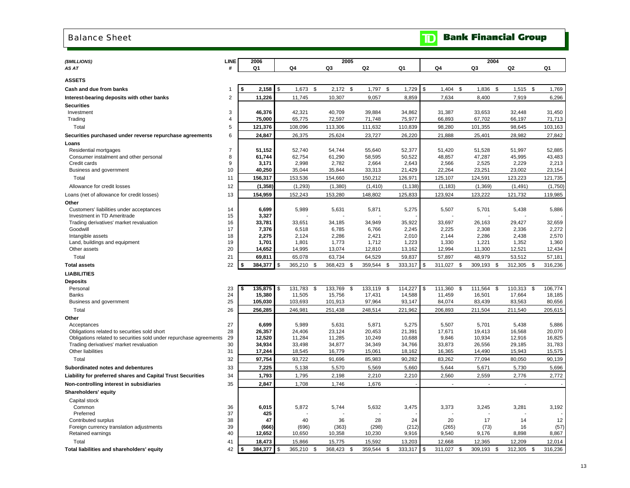#### <span id="page-15-0"></span>Balance Sheet

| (\$MILLIONS)                                                                                                       | LINE           | 2006             |            |                  |          | 2005             |      |                  |                  |    |                 | 2004             |                  |                  |
|--------------------------------------------------------------------------------------------------------------------|----------------|------------------|------------|------------------|----------|------------------|------|------------------|------------------|----|-----------------|------------------|------------------|------------------|
| AS AT                                                                                                              | #              | Q <sub>1</sub>   |            | Q4               |          | Q3               |      | Q2               | Q1               |    | Q4              | Q3               | Q2               | Q1               |
|                                                                                                                    |                |                  |            |                  |          |                  |      |                  |                  |    |                 |                  |                  |                  |
| <b>ASSETS</b>                                                                                                      |                |                  |            |                  |          |                  |      |                  |                  |    |                 |                  |                  |                  |
| Cash and due from banks                                                                                            | 1              | 2,158            | \$         | 1,673            | <b>S</b> | 2,172            | \$   | 1,797<br>\$      | 1,729            | \$ | 1,404           | \$<br>1,836      | \$<br>1,515      | \$<br>1,769      |
| Interest-bearing deposits with other banks                                                                         | $\overline{2}$ | 11,226           |            | 11,745           |          | 10,307           |      | 9,057            | 8,859            |    | 7,634           | 8,400            | 7,919            | 6,296            |
| <b>Securities</b>                                                                                                  |                |                  |            |                  |          |                  |      |                  |                  |    |                 |                  |                  |                  |
| Investment                                                                                                         | 3              | 46,376           |            | 42.321           |          | 40.709           |      | 39.884           | 34,862           |    | 31.387          | 33.653           | 32.448           | 31.450           |
| Trading                                                                                                            | 4              | 75,000           |            | 65,775           |          | 72,597           |      | 71,748           | 75,977           |    | 66,893          | 67,702           | 66,197           | 71,713           |
| Total                                                                                                              | 5              | 121,376          |            | 108,096          |          | 113,306          |      | 111,632          | 110,839          |    | 98,280          | 101,355          | 98,645           | 103,163          |
| Securities purchased under reverse repurchase agreements                                                           | 6              | 24,847           |            | 26,375           |          | 25,624           |      | 23,727           | 26,220           |    | 21,888          | 25,401           | 28,982           | 27,842           |
| Loans                                                                                                              |                |                  |            |                  |          |                  |      |                  |                  |    |                 |                  |                  |                  |
| Residential mortgages                                                                                              | $\overline{7}$ | 51,152           |            | 52,740           |          | 54,744           |      | 55,640           | 52,377           |    | 51,420          | 51,528           | 51,997           | 52,885           |
| Consumer instalment and other personal                                                                             | 8              | 61,744           |            | 62,754           |          | 61,290           |      | 58,595           | 50,522           |    | 48,857          | 47,287           | 45,995           | 43,483           |
| Credit cards<br>Business and government                                                                            | 9<br>10        | 3,171<br>40,250  |            | 2,998<br>35,044  |          | 2,782<br>35,844  |      | 2,664<br>33,313  | 2,643<br>21,429  |    | 2,566<br>22,264 | 2,525<br>23,251  | 2,229<br>23,002  | 2,213<br>23,154  |
|                                                                                                                    |                |                  |            |                  |          |                  |      |                  |                  |    |                 |                  |                  |                  |
| Total                                                                                                              | 11             | 156,317          |            | 153,536          |          | 154,660          |      | 150,212          | 126,971          |    | 125,107         | 124,591          | 123,223          | 121,735          |
| Allowance for credit losses                                                                                        | 12             | (1, 358)         |            | (1, 293)         |          | (1, 380)         |      | (1, 410)         | (1, 138)         |    | (1, 183)        | (1, 369)         | (1, 491)         | (1,750)          |
| Loans (net of allowance for credit losses)                                                                         | 13             | 154,959          |            | 152,243          |          | 153,280          |      | 148,802          | 125,833          |    | 123,924         | 123,222          | 121,732          | 119,985          |
| Other                                                                                                              |                |                  |            |                  |          |                  |      |                  |                  |    |                 |                  |                  |                  |
| Customers' liabilities under acceptances<br>Investment in TD Ameritrade                                            | 14<br>15       | 6,699<br>3,327   |            | 5,989            |          | 5,631            |      | 5,871            | 5,275            |    | 5,507           | 5,701            | 5,438            | 5,886            |
| Trading derivatives' market revaluation                                                                            | 16             | 33,781           |            | 33,651           |          | 34,185           |      | 34,949           | 35,922           |    | 33,697          | 26,163           | 29,427           | 32,659           |
| Goodwill                                                                                                           | 17             | 7,376            |            | 6,518            |          | 6,785            |      | 6,766            | 2,245            |    | 2,225           | 2,308            | 2,336            | 2,272            |
| Intangible assets                                                                                                  | 18             | 2,275            |            | 2,124            |          | 2,286            |      | 2,421            | 2,010            |    | 2,144           | 2,286            | 2,438            | 2,570            |
| Land, buildings and equipment                                                                                      | 19             | 1,701            |            | 1,801            |          | 1,773            |      | 1,712            | 1,223            |    | 1,330           | 1,221            | 1,352            | 1,360            |
| Other assets                                                                                                       | 20             | 14,652           |            | 14,995           |          | 13,074           |      | 12,810           | 13,162           |    | 12,994          | 11,300           | 12,521           | 12,434           |
| Total                                                                                                              | 21             | 69,811           |            | 65,078           |          | 63,734           |      | 64,529           | 59,837           |    | 57,897          | 48,979           | 53,512           | 57,181           |
| <b>Total assets</b>                                                                                                | 22             | 384,377<br>\$    | \$         | 365,210          | - \$     | 368,423          | \$   | 359,544<br>\$    | 333,317          | \$ | 311,027         | \$<br>309,193    | \$<br>312,305    | \$<br>316,236    |
| <b>LIABILITIES</b>                                                                                                 |                |                  |            |                  |          |                  |      |                  |                  |    |                 |                  |                  |                  |
| <b>Deposits</b>                                                                                                    |                |                  |            |                  |          |                  |      |                  |                  |    |                 |                  |                  |                  |
| Personal                                                                                                           | 23             | 135,875<br>\$    | \$         | 131,783          | - \$     | 133,769          | \$   | 133,119<br>\$    | 114,227          | \$ | 111,360         | \$<br>111,564    | \$<br>110,313    | \$<br>106,774    |
| <b>Banks</b>                                                                                                       | 24             | 15,380           |            | 11,505           |          | 15,756           |      | 17,431           | 14,588           |    | 11,459          | 16,501           | 17,664           | 18,185           |
| Business and government                                                                                            | 25             | 105,030          |            | 103,693          |          | 101,913          |      | 97,964           | 93,147           |    | 84,074          | 83,439           | 83,563           | 80,656           |
| Total                                                                                                              | 26             | 256,285          |            | 246,981          |          | 251,438          |      | 248,514          | 221,962          |    | 206,893         | 211,504          | 211,540          | 205,615          |
| Other                                                                                                              |                |                  |            |                  |          |                  |      |                  |                  |    |                 |                  |                  |                  |
| Acceptances                                                                                                        | 27             | 6,699            |            | 5,989            |          | 5,631            |      | 5,871            | 5,275            |    | 5,507           | 5,701            | 5,438            | 5,886            |
| Obligations related to securities sold short<br>Obligations related to securities sold under repurchase agreements | 28<br>29       | 26,357<br>12,520 |            | 24,406<br>11,284 |          | 23,124<br>11,285 |      | 20,453<br>10,249 | 21,391<br>10,688 |    | 17,671<br>9,846 | 19,413<br>10,934 | 16,568<br>12,916 | 20,070<br>16,825 |
| Trading derivatives' market revaluation                                                                            | 30             | 34,934           |            | 33,498           |          | 34,877           |      | 34,349           | 34,766           |    | 33,873          | 26,556           | 29,185           | 31,783           |
| Other liabilities                                                                                                  | 31             | 17,244           |            | 18,545           |          | 16,779           |      | 15,061           | 18,162           |    | 16,365          | 14,490           | 15,943           | 15,575           |
| Total                                                                                                              | 32             | 97,754           |            | 93,722           |          | 91,696           |      | 85,983           | 90,282           |    | 83,262          | 77,094           | 80,050           | 90,139           |
| Subordinated notes and debentures                                                                                  | 33             | 7,225            |            | 5,138            |          | 5,570            |      | 5,569            | 5,660            |    | 5,644           | 5,671            | 5,730            | 5,696            |
| Liability for preferred shares and Capital Trust Securities                                                        | 34             | 1,793            |            | 1,795            |          | 2,198            |      | 2,210            | 2,210            |    | 2,560           | 2,559            | 2,776            | 2,772            |
| Non-controlling interest in subsidiaries                                                                           | 35             | 2,847            |            | 1,708            |          | 1,746            |      | 1,676            |                  |    |                 |                  |                  |                  |
| Shareholders' equity                                                                                               |                |                  |            |                  |          |                  |      |                  |                  |    |                 |                  |                  |                  |
|                                                                                                                    |                |                  |            |                  |          |                  |      |                  |                  |    |                 |                  |                  |                  |
| Capital stock<br>Common                                                                                            | 36             | 6,015            |            | 5,872            |          | 5,744            |      | 5,632            | 3,475            |    | 3,373           | 3,245            | 3,281            | 3,192            |
| Preferred                                                                                                          | 37             | 425              |            |                  |          |                  |      |                  |                  |    |                 |                  |                  |                  |
| Contributed surplus                                                                                                | 38             | 47               |            | 40               |          | 36               |      | 28               | 24               |    | 20              | 17               | 14               | 12               |
| Foreign currency translation adjustments                                                                           | 39             | (666)            |            | (696)            |          | (363)            |      | (298)            | (212)            |    | (265)           | (73)             | 16               | (57)             |
| Retained earnings                                                                                                  | 40             | 12,652           |            | 10,650           |          | 10,358           |      | 10,230           | 9,916            |    | 9,540           | 9,176            | 8,898            | 8,867            |
| Total                                                                                                              | 41             | 18,473           |            | 15,866           |          | 15,775           |      | 15,592           | 13,203           |    | 12,668          | 12,365           | 12,209           | 12,014           |
| Total liabilities and shareholders' equity                                                                         | 42             | \$<br>384,377    | $\sqrt{3}$ | 365,210          | - \$     | 368,423          | - \$ | 359.544<br>\$    | 333,317          | \$ | 311,027         | \$<br>309,193    | \$<br>312,305    | \$<br>316,236    |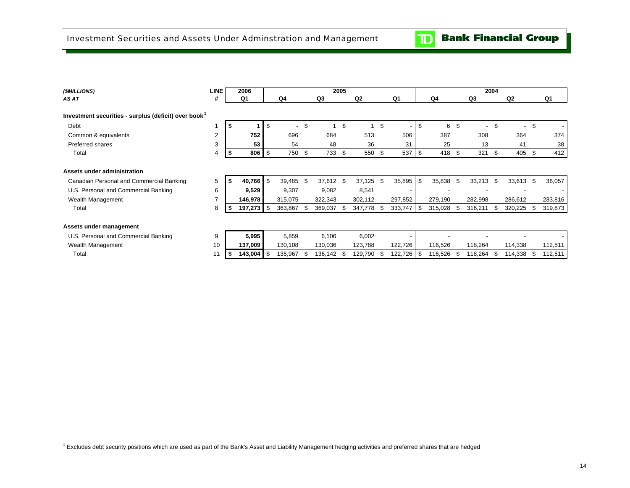$\mathbf{D}$ 

<span id="page-16-0"></span>

| (\$MILLIONS)                                                     | <b>LINE</b> |     | 2006       |                          |           |              | 2005 |                |               |      |         |      |             | 2004 |                          |      |                |
|------------------------------------------------------------------|-------------|-----|------------|--------------------------|-----------|--------------|------|----------------|---------------|------|---------|------|-------------|------|--------------------------|------|----------------|
| AS AT                                                            | #           |     | Q1         |                          | Q4        | Q3           |      | Q <sub>2</sub> | Q1            |      | Q4      |      | Q3          |      | Q <sub>2</sub>           |      | Q <sub>1</sub> |
| Investment securities - surplus (deficit) over book <sup>1</sup> |             |     |            |                          |           |              |      |                |               |      |         |      |             |      |                          |      |                |
| Debt                                                             |             | - 5 |            | \$                       | $\sim$    | \$           | \$   | $\overline{1}$ | \$            | \$   | 6       | \$   | $\sim$      | \$   | $\overline{\phantom{a}}$ | \$   |                |
| Common & equivalents                                             | 2           |     | 752        |                          | 696       | 684          |      | 513            | 506           |      | 387     |      | 308         |      | 364                      |      | 374            |
| <b>Preferred shares</b>                                          | 3           |     | 53         |                          | 54        | 48           |      | 36             | 31            |      | 25      |      | 13          |      | 41                       |      | 38             |
| Total                                                            |             | S   | 806        | l \$                     | 750       | \$<br>733 \$ |      | 550            | \$<br>537     | \$   | 418     | \$   | 321         | \$   | 405                      | -\$  | 412            |
|                                                                  |             |     |            |                          |           |              |      |                |               |      |         |      |             |      |                          |      |                |
| Assets under administration                                      |             |     |            |                          |           |              |      |                |               |      |         |      |             |      |                          |      |                |
| Canadian Personal and Commercial Banking                         | 5           |     | 40,766     | $\overline{\phantom{a}}$ | 39,485 \$ | 37,612 \$    |      | 37,125         | \$<br>35,895  | \$   | 35,838  | \$   | $33,213$ \$ |      | 33,613 \$                |      | 36,057         |
| U.S. Personal and Commercial Banking                             | 6           |     | 9,529      |                          | 9,307     | 9,082        |      | 8,541          | ٠             |      |         |      |             |      |                          |      |                |
| Wealth Management                                                |             |     | 146,978    |                          | 315,075   | 322,343      |      | 302,112        | 297,852       |      | 279,190 |      | 282,998     |      | 286,612                  |      | 283,816        |
| Total                                                            | 8           |     | 197,273 \$ |                          | 363,867   | 369,037      | - \$ | 347,778        | \$<br>333,747 | - \$ | 315,028 | - \$ | 316,211     |      | 320,225                  | - \$ | 319,873        |
|                                                                  |             |     |            |                          |           |              |      |                |               |      |         |      |             |      |                          |      |                |
| Assets under management                                          |             |     |            |                          |           |              |      |                |               |      |         |      |             |      |                          |      |                |
| U.S. Personal and Commercial Banking                             | 9           |     | 5,995      |                          | 5,859     | 6,106        |      | 6,002          |               |      |         |      |             |      |                          |      |                |
| Wealth Management                                                | 10          |     | 137,009    |                          | 130,108   | 130,036      |      | 123,788        | 122,726       |      | 116,526 |      | 118,264     |      | 114,338                  |      | 112,511        |
| Total                                                            | 11          |     | 143,004    | l \$                     | 135,967   | 136,142 \$   |      | 129,790        | \$<br>122,726 | -\$  | 116,526 | -S   | 118,264     | -SS  | 114,338                  | - \$ | 112,511        |
|                                                                  |             |     |            |                          |           |              |      |                |               |      |         |      |             |      |                          |      |                |

<sup>1</sup> Excludes debt security positions which are used as part of the Bank's Asset and Liability Management hedging activities and preferred shares that are hedged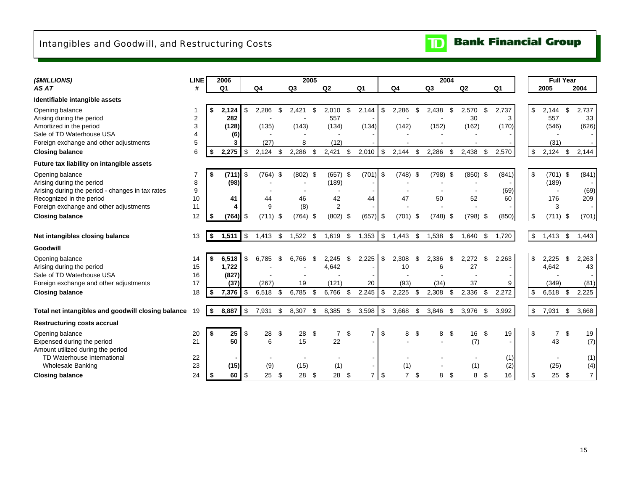## <span id="page-17-0"></span>Intangibles and Goodwill, and Restructuring Costs



| (\$MILLIONS)                                       | <b>LINE</b>    | 2006           |                  |            |                | 2005          |                |                      |                           |                      | 2004           |                   |                | <b>Full Year</b>     |      |                |
|----------------------------------------------------|----------------|----------------|------------------|------------|----------------|---------------|----------------|----------------------|---------------------------|----------------------|----------------|-------------------|----------------|----------------------|------|----------------|
| AS AT                                              | #              | Q <sub>1</sub> |                  | Q4         | Q <sub>3</sub> |               | Q2             | Q <sub>1</sub>       |                           | Q <sub>4</sub>       | Q3             | Q2                | Q <sub>1</sub> | 2005                 | 2004 |                |
| Identifiable intangible assets                     |                |                |                  |            |                |               |                |                      |                           |                      |                |                   |                |                      |      |                |
| Opening balance                                    |                | 2,124<br>\$    | \$               | 2,286      | 2,421<br>\$    | \$.           | 2,010          | \$<br>2,144          | \$                        | 2,286<br>\$          | 2,438          | 2,570<br>\$       | 2,737<br>\$    | \$<br>2,144          | \$   | 2,737          |
| Arising during the period                          | $\overline{2}$ | 282            |                  |            |                |               | 557            |                      |                           |                      |                | 30                | 3              | 557                  |      | 33             |
| Amortized in the period                            | 3              | (128)          |                  | (135)      |                | (143)         | (134)          | (134)                |                           | (142)                | (152)          | (162)             | (170)          | (546)                |      | (626)          |
| Sale of TD Waterhouse USA                          | 4<br>5         |                | (6)              |            |                |               |                |                      |                           |                      |                |                   |                |                      |      |                |
| Foreign exchange and other adjustments             |                |                | 3                | (27)       |                | 8             | (12)           |                      |                           |                      |                |                   |                | (31)                 |      |                |
| <b>Closing balance</b>                             | 6              | 2.275<br>Ŝ.    | \$               | 2,124      | 2,286<br>\$    | \$            | 2,421          | \$<br>2,010          | \$                        | 2,144<br>\$          | 2,286          | \$<br>2,438       | \$<br>2,570    | \$<br>2,124          | -\$  | 2,144          |
| Future tax liability on intangible assets          |                |                |                  |            |                |               |                |                      |                           |                      |                |                   |                |                      |      |                |
| Opening balance                                    | 7              | (711)<br>-\$   | \$               | $(764)$ \$ |                | $(802)$ \$    | $(657)$ \$     | (701)                | \$                        | $(748)$ \$           | $(798)$ \$     | $(850)$ \$        | (841)          | \$<br>$(701)$ \$     |      | (841)          |
| Arising during the period                          | 8              | (98)           |                  |            |                |               | (189)          |                      |                           |                      |                |                   |                | (189)                |      |                |
| Arising during the period - changes in tax rates   | 9              |                |                  |            |                |               |                |                      |                           |                      |                |                   | (69)           |                      |      | (69)           |
| Recognized in the period                           | 10             |                | 41               | 44         |                | 46            | 42             | 44                   |                           | 47                   | 50             | 52                | 60             | 176                  |      | 209            |
| Foreign exchange and other adjustments             | 11             |                |                  | 9          |                | (8)           | $\overline{2}$ |                      |                           |                      |                |                   |                | 3                    |      |                |
| <b>Closing balance</b>                             | 12             | (764)<br>\$    | $\sqrt{3}$       | (711)      | -\$            | (764)<br>- \$ | $(802)$ \$     | (657)                | $\sqrt{3}$                | $(701)$ \$           | (748)          | $(798)$ \$<br>-\$ | (850)          | \$<br>$(711)$ \$     |      | (701)          |
|                                                    |                |                |                  |            |                |               |                |                      |                           |                      |                |                   |                |                      |      |                |
| Net intangibles closing balance                    | 13             | \$<br>1,511    | $\sqrt{3}$       | $1,413$ \$ |                | 1,522<br>\$   | 1,619          | 1,353<br>\$          | \$                        | 1,443<br>\$          | 1,538          | \$<br>1,640       | 1,720<br>- \$  | \$<br>$1,413$ \$     |      | 1,443          |
| Goodwill                                           |                |                |                  |            |                |               |                |                      |                           |                      |                |                   |                |                      |      |                |
| Opening balance                                    | 14             | 6,518<br>-\$   | \$               | 6,785      | 6,766<br>\$    | \$            | 2,245          | \$<br>2,225          | \$                        | 2,308<br>\$          | 2,336          | \$<br>2,272       | \$<br>2,263    | \$<br>2,225          | \$   | 2,263          |
| Arising during the period                          | 15             | 1,722          |                  |            |                |               | 4,642          |                      |                           | 10                   | 6              | 27                |                | 4,642                |      | 43             |
| Sale of TD Waterhouse USA                          | 16             | (827)          |                  |            |                |               |                |                      |                           |                      |                |                   |                |                      |      |                |
| Foreign exchange and other adjustments             | 17             |                | (37)             | (267)      |                | 19            | (121)          | 20                   |                           | (93)                 | (34)           | 37                | 9              | (349)                |      | (81)           |
| <b>Closing balance</b>                             | 18             | 7,376<br>-\$   | \$               | 6,518      | 6,785<br>-\$   | \$            | 6,766          | 2,245<br>- \$        | \$                        | 2,225<br>-\$         | 2,308          | 2,336<br>\$       | 2,272<br>-\$   | \$<br>6,518          | - \$ | 2,225          |
|                                                    |                |                |                  |            |                |               |                |                      |                           |                      |                |                   |                |                      |      |                |
| Total net intangibles and goodwill closing balance | 19             | 8,887<br>\$    | \$               | 7,931      | 8,307<br>\$    | \$            | 8,385          | 3,598<br>\$          | \$                        | 3,668<br>\$          | 3,846          | \$<br>3,976       | 3,992<br>\$    | \$<br>7,931          | \$   | 3,668          |
| <b>Restructuring costs accrual</b>                 |                |                |                  |            |                |               |                |                      |                           |                      |                |                   |                |                      |      |                |
| Opening balance                                    | 20             | -\$            | 25<br>\$         | 28         | \$             | 28<br>\$      | $\overline{7}$ | \$<br>$\overline{7}$ | \$                        | \$<br>8              | 8              | -\$<br>16 \$      | 19             | \$<br>7 <sup>°</sup> |      | 19             |
| Expensed during the period                         | 21             |                | 50               | 6          |                | 15            | 22             |                      |                           |                      |                | (7)               |                | 43                   |      | (7)            |
| Amount utilized during the period                  |                |                |                  |            |                |               |                |                      |                           |                      |                |                   |                |                      |      |                |
| TD Waterhouse International                        | 22             |                |                  |            |                |               |                |                      |                           |                      |                |                   | (1)            |                      |      | (1)            |
| <b>Wholesale Banking</b>                           | 23             |                | (15)             | (9)        |                | (15)          | (1)            |                      |                           | (1)                  |                | (1)               | (2)            | (25)                 |      | (4)            |
| <b>Closing balance</b>                             | 24             | -\$            | 60<br>$\sqrt{3}$ | 25         | \$             | \$<br>28      | 28 \$          | $\overline{7}$       | $\boldsymbol{\mathsf{S}}$ | $\overline{7}$<br>\$ | 8 <sup>°</sup> | 8 \$              | 16             | \$<br>25S            |      | $\overline{7}$ |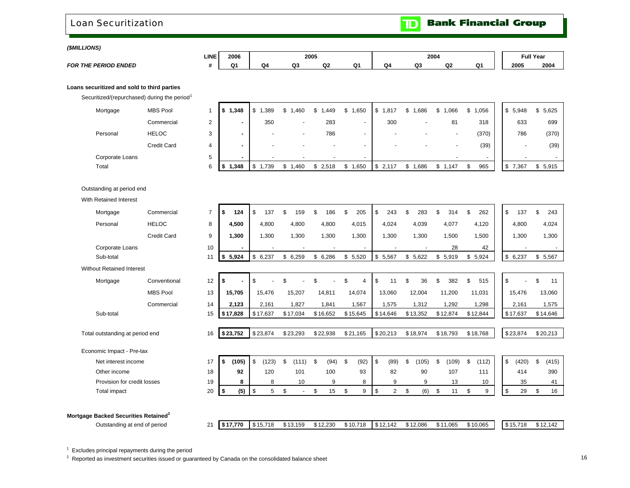<span id="page-18-0"></span>Loan Securitization

**Bank Financial Group**  $\blacksquare$ 

*(\$MILLIONS)* 

|                             | <b>LINE</b> | 2006 |       | 2005 |              |        |    | 2004 |    |    | <b>Full Year</b> |      |
|-----------------------------|-------------|------|-------|------|--------------|--------|----|------|----|----|------------------|------|
| <b>FOR THE PERIOD ENDED</b> |             | n,   | - 634 | Q3   | $\sim$<br>u. | $\sim$ | Q4 | Q3   | Q2 | n, | 2005             | 2004 |

**Loans securitized and sold to third parties**

Securitized/(repurchased) during the period<sup>1</sup>

| Mortgage        | <b>MBS Pool</b> |    | .348                     | ,389                     | ,460<br>\$.              | .449<br>\$ | .650<br>S.       | . 817<br>Æ               | ,686 | ,066<br>S                | ,056<br>S.               | \$5,948    | \$5,625 |
|-----------------|-----------------|----|--------------------------|--------------------------|--------------------------|------------|------------------|--------------------------|------|--------------------------|--------------------------|------------|---------|
|                 | Commercial      | ົ  | $\overline{\phantom{a}}$ | 350                      | $\overline{\phantom{0}}$ | 283        | -                | 300                      | . .  | 81                       | 318                      | 633        | 699     |
| Personal        | <b>HELOC</b>    | 3  |                          | $\overline{\phantom{0}}$ | $\overline{\phantom{a}}$ | 786        |                  | $\overline{\phantom{0}}$ |      | $\overline{\phantom{a}}$ | (370)                    | 786        | (370)   |
|                 | Credit Card     | 4  |                          |                          | $\overline{\phantom{a}}$ |            |                  |                          |      | $\overline{\phantom{a}}$ | (39)                     |            | (39)    |
| Corporate Loans |                 | b. |                          |                          | $\overline{\phantom{a}}$ |            |                  |                          |      | $\overline{\phantom{a}}$ | $\overline{\phantom{0}}$ |            |         |
| Total           |                 | 6  | .348                     | 739،،                    | .460                     | \$2,518    | .650<br><u>ъ</u> | 2,117<br>J               | .686 | ,147                     | 965<br>\$.               | \$<br>.367 | \$5,915 |

Outstanding at period end

With Retained Interest

| Mortgage                                         | Commercial         | $\overline{7}$ | \$<br>124   | \$<br>137   | \$<br>159                      | \$<br>186  | \$<br>205            | \$<br>243            | \$<br>283   | \$  | 314      | \$<br>262   | \$<br>137   | \$<br>243   |
|--------------------------------------------------|--------------------|----------------|-------------|-------------|--------------------------------|------------|----------------------|----------------------|-------------|-----|----------|-------------|-------------|-------------|
| Personal                                         | <b>HELOC</b>       | 8              | 4,500       | 4,800       | 4,800                          | 4,800      | 4,015                | 4,024                | 4,039       |     | 4,077    | 4,120       | 4,800       | 4,024       |
|                                                  | <b>Credit Card</b> | 9              | 1,300       | 1,300       | 1,300                          | 1,300      | 1,300                | 1,300                | 1,300       |     | 1,500    | 1,500       | 1,300       | 1,300       |
| Corporate Loans                                  |                    | 10             |             |             |                                |            |                      |                      |             |     | 28       | 42          |             |             |
| Sub-total                                        |                    | 11             | 5,924<br>\$ | \$6,237     | \$<br>6,259                    | \$6,286    | \$5,520              | \$5,567              | \$5,622     |     | \$5,919  | \$5,924     | \$6,237     | \$5,567     |
| <b>Without Retained Interest</b>                 |                    |                |             |             |                                |            |                      |                      |             |     |          |             |             |             |
| Mortgage                                         | Conventional       | 12             | \$          | \$          |                                |            | \$<br>$\overline{4}$ | \$<br>11             | \$<br>36    | \$. | 382      | 515         | \$          | \$<br>11    |
|                                                  | <b>MBS Pool</b>    | 13             | 15,705      | 15,476      | 15,207                         | 14,811     | 14,074               | 13,060               | 12,004      |     | 11,200   | 11,031      | 15,476      | 13,060      |
|                                                  | Commercial         | 14             | 2,123       | 2,161       | 1,827                          | 1,841      | 1,567                | 1,575                | 1,312       |     | 1,292    | 1,298       | 2,161       | 1,575       |
| Sub-total                                        |                    | 15             | \$17,828    | \$17,637    | \$17,034                       | \$16,652   | \$15,645             | \$14,646             | \$13,352    |     | \$12,874 | \$12,844    | \$17,637    | \$14,646    |
|                                                  |                    |                |             |             |                                |            |                      |                      |             |     |          |             |             |             |
| Total outstanding at period end                  |                    | 16             | \$23,752    | \$23,874    | \$23,293                       | \$22,938   | \$21,165             | \$20,213             | \$18,974    |     | \$18,793 | \$18,768    | \$23,874    | \$20,213    |
| Economic Impact - Pre-tax                        |                    |                |             |             |                                |            |                      |                      |             |     |          |             |             |             |
| Net interest income                              |                    | 17             | \$<br>(105) | \$<br>(123) | \$<br>(111)                    | \$<br>(94) | \$<br>(92)           | \$<br>(89)           | \$<br>(105) | S.  | (109)    | \$<br>(112) | \$<br>(420) | \$<br>(415) |
| Other income                                     |                    | 18             | 92          | 120         | 101                            | 100        | 93                   | 82                   | 90          |     | 107      | 111         | 414         | 390         |
| Provision for credit losses                      |                    | 19             | 8           | 8           | 10                             | 9          | 8                    | 9                    | 9           |     | 13       | 10          | 35          | 41          |
| Total impact                                     |                    | 20             | (5)<br>\$   | \$<br>5     | \$<br>$\overline{\phantom{a}}$ | \$<br>15   | \$<br>9              | \$<br>$\overline{2}$ | \$<br>(6)   | \$  | 11       | \$<br>9     | \$<br>29    | \$<br>16    |
|                                                  |                    |                |             |             |                                |            |                      |                      |             |     |          |             |             |             |
| Mortgage Backed Securities Retained <sup>2</sup> |                    |                |             |             |                                |            |                      |                      |             |     |          |             |             |             |
| Outstanding at and at nation                     |                    | $\Omega$       | 0.47770     | 0.45740     | 0.42450                        | 0.4222     | 0.40740              | 0.40.440             | 0.4200      |     | 0.44~005 | 0.4000E     | 0.45740     | 0.40.440    |

Outstanding at end of period 21 **\$ 17,770** \$ 13,159 15,718 \$ 12,230 \$ 10,718 \$ 12,142 \$ 12,086 \$ 11,065 \$ 10,065 \$ 15,718 \$ 12,142 \$

 $1$  Excludes principal repayments during the period

 $2\,$  Reported as investment securities issued or guaranteed by Canada on the consolidated balance sheet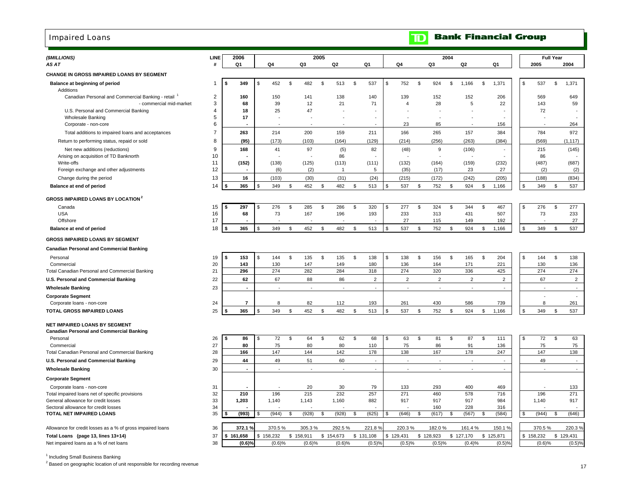### <span id="page-19-0"></span>Impaired Loans

| (\$MILLIONS)                                                                           | LINE           |           | 2006                       |           |                      |     |                     | 2005 |                       |               |                     |                          |                     | 2004          |                          |               |                     |                |                          | <b>Full Year</b> |                     |
|----------------------------------------------------------------------------------------|----------------|-----------|----------------------------|-----------|----------------------|-----|---------------------|------|-----------------------|---------------|---------------------|--------------------------|---------------------|---------------|--------------------------|---------------|---------------------|----------------|--------------------------|------------------|---------------------|
| AS AT                                                                                  | #              |           | Q1                         |           | Q4                   |     | Q3                  |      | Q <sub>2</sub>        |               | Q1                  | Q4                       | Q <sub>3</sub>      |               | Q <sub>2</sub>           |               | Q1                  |                | 2005                     |                  | 2004                |
| CHANGE IN GROSS IMPAIRED LOANS BY SEGMENT                                              |                |           |                            |           |                      |     |                     |      |                       |               |                     |                          |                     |               |                          |               |                     |                |                          |                  |                     |
| Balance at beginning of period                                                         | -1             | s.        | 349                        | \$.       | 452                  | \$  | 482                 | \$   | 513                   | \$            | 537                 | \$<br>752                | \$<br>924           | \$            | 1,166                    | \$            | 1,371               | \$             | 537                      | \$               | 1,371               |
| Additions<br>Canadian Personal and Commercial Banking - retail                         | 2              |           | 160                        |           | 150                  |     | 141                 |      | 138                   |               | 140                 | 139                      | 152                 |               | 152                      |               | 206                 |                | 569                      |                  | 649                 |
| - commercial mid-market<br>U.S. Personal and Commercial Banking                        | 3<br>4         |           | 68<br>18                   |           | 39<br>25             |     | 12<br>47            |      | 21                    |               | 71                  | $\overline{4}$           | 28                  |               | 5                        |               | 22                  |                | 143<br>72                |                  | 59                  |
| <b>Wholesale Banking</b>                                                               | 5              |           | 17                         |           |                      |     |                     |      |                       |               |                     |                          |                     |               |                          |               |                     |                |                          |                  |                     |
| Corporate - non-core                                                                   | 6              |           |                            |           |                      |     |                     |      |                       |               |                     | 23                       | 85                  |               |                          |               | 156                 |                |                          |                  | 264                 |
| Total additions to impaired loans and acceptances                                      | $\overline{7}$ |           | 263                        |           | 214                  |     | 200                 |      | 159                   |               | 211                 | 166                      | 265                 |               | 157                      |               | 384                 |                | 784                      |                  | 972                 |
| Return to performing status, repaid or sold                                            | 8              |           | (95)                       |           | (173)                |     | (103)               |      | (164)                 |               | (129)               | (214)                    | (256)               |               | (263)                    |               | (384)               |                | (569)                    |                  | (1, 117)            |
| Net new additions (reductions)                                                         | 9              |           | 168                        |           | 41                   |     | 97                  |      | (5)                   |               | 82                  | (48)                     | 9                   |               | (106)                    |               |                     |                | 215                      |                  | (145)               |
| Arising on acquisition of TD Banknorth                                                 | 10             |           |                            |           |                      |     |                     |      | 86                    |               |                     |                          |                     |               |                          |               |                     |                | 86                       |                  |                     |
| Write-offs                                                                             | 11             |           | (152)                      |           | (138)                |     | (125)               |      | (113)<br>$\mathbf{1}$ |               | (111)               | (132)                    | (164)               |               | (159)                    |               | (232)               |                | (487)                    |                  | (687)               |
| Foreign exchange and other adjustments                                                 | 12             |           |                            |           | (6)                  |     | (2)                 |      |                       |               | 5                   | (35)                     | (17)                |               | 23                       |               | 27                  |                | (2)                      |                  | (2)                 |
| Change during the period                                                               | 13<br>14       |           | 16<br>365                  | S.        | (103)<br>349         | \$  | (30)<br>452         | \$   | (31)<br>482           | \$            | (24)<br>513         | \$<br>(215)<br>537       | \$<br>(172)<br>752  | \$            | (242)<br>924             | \$            | (205)<br>1,166      | \$             | (188)<br>349             | \$               | (834)<br>537        |
| Balance at end of period                                                               |                |           |                            |           |                      |     |                     |      |                       |               |                     |                          |                     |               |                          |               |                     |                |                          |                  |                     |
| <b>GROSS IMPAIRED LOANS BY LOCATION</b> <sup>2</sup>                                   |                |           |                            |           |                      |     |                     |      |                       |               |                     |                          |                     |               |                          |               |                     |                |                          |                  |                     |
| Canada                                                                                 | 15             | \$        | 297                        | \$        | 276                  | \$  | 285                 | \$   | 286                   | \$            | 320                 | \$<br>277                | \$<br>324           | \$            | 344                      | \$            | 467                 | \$             | 276                      | \$               | 277                 |
| <b>USA</b>                                                                             | 16             |           | 68                         |           | 73                   |     | 167                 |      | 196                   |               | 193                 | 233                      | 313                 |               | 431                      |               | 507                 |                | 73                       |                  | 233                 |
| Offshore                                                                               | 17             |           |                            |           |                      |     |                     |      |                       |               |                     | \$<br>27                 | 115                 |               | 149                      |               | 192                 | $$\mathbb{S}$$ |                          |                  | 27                  |
| Balance at end of period                                                               | 18             | \$        | 365                        |           | 349                  | \$  | 452                 | \$   | 482                   | \$            | 513                 | 537                      | \$<br>752           | \$            | 924                      | \$            | 1,166               |                | 349                      | \$               | 537                 |
| <b>GROSS IMPAIRED LOANS BY SEGMENT</b>                                                 |                |           |                            |           |                      |     |                     |      |                       |               |                     |                          |                     |               |                          |               |                     |                |                          |                  |                     |
| <b>Canadian Personal and Commercial Banking</b>                                        |                |           |                            |           |                      |     |                     |      |                       |               |                     |                          |                     |               |                          |               |                     |                |                          |                  |                     |
| Personal                                                                               | 19             | \$        | 153                        | \$        | 144                  | \$  | 135                 | \$   | 135                   | \$            | 138                 | \$<br>138                | \$<br>156           | \$            | 165                      | \$            | 204                 | \$             | 144                      | \$               | 138                 |
| Commercial                                                                             | 20             |           | 143                        |           | 130                  |     | 147                 |      | 149                   |               | 180                 | 136                      | 164                 |               | 171                      |               | 221                 |                | 130                      |                  | 136                 |
| Total Canadian Personal and Commercial Banking                                         | 21             |           | 296                        |           | 274                  |     | 282                 |      | 284                   |               | 318                 | 274                      | 320                 |               | 336                      |               | 425                 |                | 274                      |                  | 274                 |
| U.S. Personal and Commercial Banking                                                   | 22             |           | 62                         |           | 67                   |     | 88                  |      | 86                    |               | $\overline{2}$      | $\overline{2}$           | 2                   |               | $\overline{2}$           |               | $\overline{2}$      |                | 67                       |                  | $\overline{2}$      |
| <b>Wholesale Banking</b>                                                               | 23             |           | $\overline{\phantom{a}}$   |           | $\overline{a}$       |     | $\overline{a}$      |      | $\overline{a}$        |               | $\overline{a}$      | $\sim$                   | $\overline{a}$      |               | $\sim$                   |               | $\overline{a}$      |                | $\overline{\phantom{a}}$ |                  | $\sim$              |
| <b>Corporate Segment</b><br>Corporate loans - non-core                                 | 24             |           | $\overline{7}$             |           | 8                    |     | 82                  |      | 112                   |               | 193                 | 261                      | 430                 |               | 586                      |               | 739                 |                | 8                        |                  | $\sim$<br>261       |
| TOTAL GROSS IMPAIRED LOANS                                                             | 25             | Ŝ.        | 365                        |           | 349                  | \$  | 452                 | \$   | 482                   | \$            | 513                 | \$<br>537                | \$<br>752           | \$            | 924                      | \$            | 1,166               | \$             | 349                      | \$               | 537                 |
|                                                                                        |                |           |                            |           |                      |     |                     |      |                       |               |                     |                          |                     |               |                          |               |                     |                |                          |                  |                     |
| NET IMPAIRED LOANS BY SEGMENT<br><b>Canadian Personal and Commercial Banking</b>       |                |           |                            |           |                      |     |                     |      |                       |               |                     |                          |                     |               |                          |               |                     |                |                          |                  |                     |
| Personal                                                                               | 26             | \$        | 86                         | \$        | 72                   | \$  | 64                  | \$   | 62                    | $\mathfrak s$ | 68                  | \$<br>63                 | \$<br>81            | $\mathfrak s$ | 87                       | $\mathfrak s$ | 111                 | \$             | 72                       | $\mathfrak s$    | 63                  |
| Commercial                                                                             | 27             |           | 80                         |           | 75<br>147            |     | 80                  |      | 80<br>142             |               | 110                 | 75                       | 86                  |               | 91                       |               | 136                 |                | 75<br>147                |                  | 75                  |
| Total Canadian Personal and Commercial Banking                                         | 28             |           | 166                        |           |                      |     | 144<br>51           |      | 60                    |               | 178                 | 138<br>$\overline{a}$    | 167                 |               | 178                      |               | 247                 |                | 49                       |                  | 138<br>$\sim$       |
| U.S. Personal and Commercial Banking                                                   | 29             |           | 44<br>$\ddot{\phantom{0}}$ |           | 49<br>$\overline{a}$ |     | $\overline{a}$      |      | $\overline{a}$        |               | $\overline{a}$      | $\overline{\phantom{a}}$ | $\overline{a}$      |               | $\overline{\phantom{a}}$ |               | ÷.                  |                |                          |                  | $\sim$              |
| <b>Wholesale Banking</b>                                                               | 30             |           |                            |           |                      |     |                     |      |                       |               |                     |                          |                     |               |                          |               |                     |                |                          |                  |                     |
| <b>Corporate Segment</b>                                                               |                |           |                            |           |                      |     |                     |      |                       |               |                     |                          |                     |               |                          |               |                     |                |                          |                  |                     |
| Corporate loans - non-core                                                             | 31             |           | 210                        |           | 196                  |     | 20<br>215           |      | 30<br>232             |               | 79<br>257           | 133<br>271               | 293<br>460          |               | 400<br>578               |               | 469<br>716          |                | 196                      |                  | 133<br>271          |
| Total impaired loans net of specific provisions<br>General allowance for credit losses | 32<br>33       |           | 1,203                      |           | 1,140                |     | 1,143               |      | 1,160                 |               | 882                 | 917                      | 917                 |               | 917                      |               | 984                 |                | 1,140                    |                  | 917                 |
| Sectoral allowance for credit losses                                                   | 34             |           |                            |           |                      |     |                     |      |                       |               |                     |                          | 160                 |               | 228                      |               | 316                 |                |                          |                  |                     |
| TOTAL NET IMPAIRED LOANS                                                               | 35             |           | (993)                      | \$.       | (944)                | \$. | (928)               | \$   | (928)                 | \$            | (625)               | \$<br>(646)              | \$<br>(617)         | \$            | (567)                    | \$            | (584)               | \$             | (944)                    | \$               | (646)               |
|                                                                                        |                |           |                            |           |                      |     |                     |      |                       |               |                     |                          |                     |               |                          |               |                     |                |                          |                  |                     |
| Allowance for credit losses as a % of gross impaired loans                             | 36             |           | 372.1 %                    |           | 370.5%               |     | 305.3%              |      | 292.5%                |               | 221.8%              | 220.3%                   | 182.0%              |               | 161.4%                   |               | 150.1 %             |                | 370.5%                   |                  | 220.3%              |
| Total Loans (page 13, lines 13+14)<br>Net impaired loans as a % of net loans           | 37<br>38       | \$161,658 | (0.6)%                     | \$158,232 | (0.6)%               |     | \$158,911<br>(0.6)% |      | \$154,673<br>(0.6)%   |               | \$131,108<br>(0.5)% | \$129,431<br>(0.5)%      | \$128,923<br>(0.5)% |               | \$127,170<br>(0.4)%      |               | \$125,871<br>(0.5)% |                | \$158,232<br>(0.6)%      |                  | \$129,431<br>(0.5)% |
|                                                                                        |                |           |                            |           |                      |     |                     |      |                       |               |                     |                          |                     |               |                          |               |                     |                |                          |                  |                     |

<sup>1</sup> Including Small Business Banking

 $2$  Based on geographic location of unit responsible for recording revenue

**Bank Financial Group** 

 $\mathbf{D}$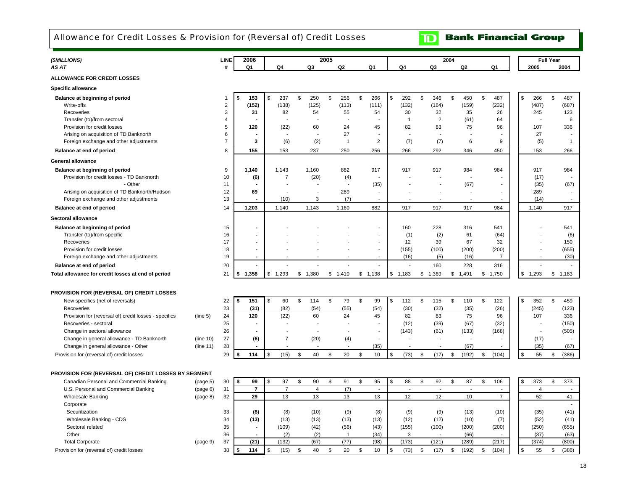<span id="page-20-0"></span>Allowance for Credit Losses & Provision for (Reversal of) Credit Losses

**TD** Bank Financial Group

| (\$MILLIONS)                                          |           | LINE           | 2006           |                |                | 2005          |                |                          |                          |                | 2004          |                          |                          |                    | <b>Full Year</b> |                          |
|-------------------------------------------------------|-----------|----------------|----------------|----------------|----------------|---------------|----------------|--------------------------|--------------------------|----------------|---------------|--------------------------|--------------------------|--------------------|------------------|--------------------------|
| AS AT                                                 |           | #              | Q1             | Q4             | Q3             |               | Q <sub>2</sub> | Q <sub>1</sub>           | Q4                       | Q3             |               | Q2                       | Q <sub>1</sub>           | 2005               |                  | 2004                     |
| <b>ALLOWANCE FOR CREDIT LOSSES</b>                    |           |                |                |                |                |               |                |                          |                          |                |               |                          |                          |                    |                  |                          |
| <b>Specific allowance</b>                             |           |                |                |                |                |               |                |                          |                          |                |               |                          |                          |                    |                  |                          |
| Balance at beginning of period                        |           | 1              | 153<br>\$      | \$<br>237      | \$<br>250      | $\mathfrak s$ | 256            | \$<br>266                | \$<br>292                | \$<br>346      | $\mathfrak s$ | 450                      | \$<br>487                | \$<br>266          | $\mathbb S$      | 487                      |
| Write-offs                                            |           | $\overline{2}$ | (152)          | (138)          | (125)          |               | (113)          | (111)                    | (132)                    | (164)          |               | (159)                    | (232)                    | (487)              |                  | (687)                    |
| Recoveries                                            |           | 3              | 31             | 82             | 54             |               | 55             | 54                       | 30                       | 32             |               | 35                       | 26                       | 245                |                  | 123                      |
| Transfer (to)/from sectoral                           |           | 4              |                |                |                |               |                |                          | $\overline{1}$           | $\overline{2}$ |               | (61)                     | 64                       |                    |                  | 6                        |
| Provision for credit losses                           |           | 5              | 120            | (22)           | 60             |               | 24             | 45                       | 82                       | 83             |               | 75                       | 96                       | 107                |                  | 336                      |
| Arising on acquisition of TD Banknorth                |           | 6              |                |                |                |               | 27             |                          | $\overline{\phantom{a}}$ |                |               |                          |                          | 27                 |                  |                          |
| Foreign exchange and other adjustments                |           | $\overline{7}$ | 3              | (6)            | (2)            |               | $\mathbf{1}$   | $\overline{2}$           | (7)                      | (7)            |               | 6                        | 9                        | (5)                |                  | $\overline{1}$           |
| Balance at end of period                              |           | 8              | 155            | 153            | 237            |               | 250            | 256                      | 266                      | 292            |               | 346                      | 450                      | 153                |                  | 266                      |
| <b>General allowance</b>                              |           |                |                |                |                |               |                |                          |                          |                |               |                          |                          |                    |                  |                          |
| Balance at beginning of period                        |           | 9              | 1,140          | 1,143          | 1,160          |               | 882            | 917                      | 917                      | 917            |               | 984                      | 984                      | 917                |                  | 984                      |
| Provision for credit losses - TD Banknorth            |           | 10             | (6)            | 7              | (20)           |               | (4)            |                          |                          |                |               | $\overline{\phantom{a}}$ |                          | (17)               |                  |                          |
| - Other                                               |           | 11             |                |                |                |               |                | (35)                     |                          |                |               | (67)                     |                          | (35)               |                  | (67)                     |
| Arising on acquisition of TD Banknorth/Hudson         |           | 12             | 69             |                |                |               | 289            |                          |                          |                |               |                          |                          | 289                |                  |                          |
| Foreign exchange and other adjustments                |           | 13             | $\blacksquare$ | (10)           | 3              |               | (7)            | L,                       | Ĭ.                       | $\overline{a}$ |               |                          | $\overline{\phantom{a}}$ | (14)               |                  |                          |
| Balance at end of period                              |           | 14             | 1,203          | 1,140          | 1,143          |               | 1,160          | 882                      | 917                      | 917            |               | 917                      | 984                      | 1,140              |                  | 917                      |
| Sectoral allowance                                    |           |                |                |                |                |               |                |                          |                          |                |               |                          |                          |                    |                  |                          |
| Balance at beginning of period                        |           | 15             |                |                |                |               |                | ÷,                       | 160                      | 228            |               | 316                      | 541                      |                    |                  | 541                      |
| Transfer (to)/from specific                           |           | 16             |                |                |                |               |                | $\sim$                   | (1)                      | (2)            |               | 61                       | (64)                     |                    |                  | (6)                      |
| Recoveries                                            |           | 17             |                |                |                |               |                |                          | 12                       | 39             |               | 67                       | 32                       |                    |                  | 150                      |
| Provision for credit losses                           |           | 18             |                |                |                |               |                | ÷,                       | (155)                    | (100)          |               | (200)                    | (200)                    |                    |                  | (655)                    |
| Foreign exchange and other adjustments                |           | 19             |                |                |                |               |                | $\overline{\phantom{a}}$ | (16)                     | (5)            |               | (16)                     | 7                        |                    |                  | (30)                     |
| Balance at end of period                              |           | 20             | $\overline{a}$ | ÷              |                |               |                |                          | ÷                        | 160            |               | 228                      | 316                      |                    |                  | $\overline{\phantom{a}}$ |
| Total allowance for credit losses at end of period    |           | 21             | 1,358<br>\$    | \$1,293        | \$1,380        | \$            | 1,410          | \$1,138                  | \$1,183                  | \$<br>1,369    |               | \$1,491                  | \$<br>1,750              | \$<br>1,293        | \$1,183          |                          |
|                                                       |           |                |                |                |                |               |                |                          |                          |                |               |                          |                          |                    |                  |                          |
| PROVISION FOR (REVERSAL OF) CREDIT LOSSES             |           |                |                |                |                |               |                |                          |                          |                |               |                          |                          |                    |                  |                          |
| New specifics (net of reversals)                      |           | 22             | 151<br>\$      | \$<br>60       | \$<br>114      | \$            | 79             | \$<br>99                 | \$<br>112                | \$<br>115      | \$            | 110                      | \$<br>122                | \$<br>352          | \$               | 459                      |
| Recoveries                                            |           | 23             | (31)           | (82)           | (54)           |               | (55)           | (54)                     | (30)                     | (32)           |               | (35)                     | (26)                     | (245)              |                  | (123)                    |
| Provision for (reversal of) credit losses - specifics | (line 5)  | 24             | 120            | (22)           | 60             |               | 24             | 45                       | 82                       | 83             |               | 75                       | 96                       | 107                |                  | 336                      |
| Recoveries - sectoral                                 |           | 25             |                | $\blacksquare$ |                |               | $\sim$         | $\blacksquare$           | (12)                     | (39)           |               | (67)                     | (32)                     |                    |                  | (150)                    |
| Change in sectoral allowance                          |           | 26             |                | $\overline{7}$ |                |               |                |                          | (143)                    | (61)           |               | (133)                    | (168)                    |                    |                  | (505)                    |
| Change in general allowance - TD Banknorth            | (line 10) | 27             | (6)            |                | (20)           |               | (4)            |                          |                          |                |               |                          |                          | (17)               |                  |                          |
| Change in general allowance - Other                   | (line 11) | 28             |                |                |                |               |                | (35)                     |                          |                |               | (67)                     |                          | (35)               |                  | (67)                     |
| Provision for (reversal of) credit losses             |           | 29             | 114            | \$<br>(15)     | \$<br>40       | \$            | 20             | \$<br>10                 | \$<br>(73)               | \$<br>(17)     | \$            | (192)                    | \$<br>(104)              | $\mathbb{S}$<br>55 | \$               | (386)                    |
| PROVISION FOR (REVERSAL OF) CREDIT LOSSES BY SEGMENT  |           |                |                |                |                |               |                |                          |                          |                |               |                          |                          |                    |                  |                          |
| Canadian Personal and Commercial Banking              | (page 5)  | 30             | \$<br>99       | \$<br>97       | \$<br>90       | \$            | 91             | \$<br>95                 | \$<br>88                 | \$<br>92       | \$            | 87                       | \$<br>106                | \$<br>373          | \$               | 373                      |
| U.S. Personal and Commercial Banking                  | (page 6)  | 31             | $\overline{7}$ | $\overline{7}$ | $\overline{4}$ |               | (7)            | $\blacksquare$           | $\overline{a}$           | $\overline{a}$ |               | $\ddot{\phantom{a}}$     |                          | $\overline{4}$     |                  | $\sim$                   |
| <b>Wholesale Banking</b>                              | (page 8)  | 32             | 29             | 13             | 13             |               | 13             | 13                       | 12                       | 12             |               | 10                       | $\overline{7}$           | 52                 |                  | 41                       |
| Corporate                                             |           |                |                |                |                |               |                |                          |                          |                |               |                          |                          |                    |                  |                          |
| Securitization                                        |           | 33             | (8)            | (8)            | (10)           |               | (9)            | (8)                      | (9)                      | (9)            |               | (13)                     | (10)                     | (35)               |                  | (41)                     |
| Wholesale Banking - CDS                               |           | 34             | (13)           | (13)           | (13)           |               | (13)           | (13)                     | (12)                     | (12)           |               | (10)                     | (7)                      | (52)               |                  | (41)                     |
| Sectoral related                                      |           | 35             | $\blacksquare$ | (109)          | (42)           |               | (56)           | (43)                     | (155)                    | (100)          |               | (200)                    | (200)                    | (250)              |                  | (655)                    |
| Other                                                 |           | 36             |                | (2)            | (2)            |               | $\mathbf{1}$   | (34)                     | 3                        |                |               | (66)                     |                          | (37)               |                  | (63)                     |
| <b>Total Corporate</b>                                | (page 9)  | 37             | (21)           | (132)          | (67)           |               | (77)           | (98)                     | (173)                    | (121)          |               | (289)                    | (217)                    | (374)              |                  | (800)                    |
| Provision for (reversal of) credit losses             |           | 38             | 114<br>\$      | \$<br>(15)     | \$<br>40       | \$            | 20             | \$<br>10                 | \$<br>(73)               | \$<br>(17)     | \$            | (192)                    | \$<br>(104)              | $\mathbb S$<br>55  | \$               | (386)                    |
|                                                       |           |                |                |                |                |               |                |                          |                          |                |               |                          |                          |                    |                  |                          |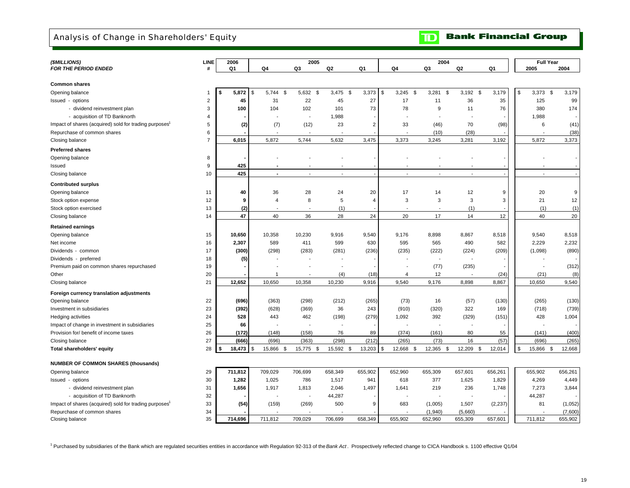<span id="page-21-0"></span>Analysis of Change in Shareholders' Equity

**Bank Financial Group**  $\mathbf{D}$ 

| (\$MILLIONS)                                                       | LINE           | 2006           |                    | 2005                     |                |                |                          | 2004                     |                |          | <b>Full Year</b> |         |
|--------------------------------------------------------------------|----------------|----------------|--------------------|--------------------------|----------------|----------------|--------------------------|--------------------------|----------------|----------|------------------|---------|
| <b>FOR THE PERIOD ENDED</b>                                        | #              | Q <sub>1</sub> | Q4                 | Q3                       | Q2             | Q1             | Q4                       | Q3                       | Q <sub>2</sub> | Q1       | 2005             | 2004    |
|                                                                    |                |                |                    |                          |                |                |                          |                          |                |          |                  |         |
| <b>Common shares</b>                                               |                |                |                    |                          |                |                |                          |                          |                |          |                  |         |
| Opening balance                                                    | $\mathbf 1$    | \$<br>5,872    | \$<br>5,744<br>\$  | 5,632 \$                 | $3,475$ \$     | 3,373          | $3,245$ \$<br>\$         | 3,281<br>Ŝ.              | $3,192$ \$     | 3,179    | \$<br>$3,373$ \$ | 3,179   |
| Issued - options                                                   | $\overline{2}$ | 45             | 31                 | 22                       | 45             | 27             | 17                       | 11                       | 36             | 35       | 125              | 99      |
| - dividend reinvestment plan                                       | 3              | 100            | 104                | 102                      | 101            | 73             | 78                       | 9                        | 11             | 76       | 380              | 174     |
| - acquisition of TD Banknorth                                      | 4              |                |                    | $\overline{\phantom{a}}$ | 1,988          |                | $\overline{a}$           |                          |                |          | 1,988            |         |
| Impact of shares (acquired) sold for trading purposes <sup>1</sup> | 5              | (2)            | (7)                | (12)                     | 23             | $\overline{2}$ | 33                       | (46)                     | 70             | (98)     | 6                | (41)    |
| Repurchase of common shares                                        | 6              |                |                    |                          |                |                | $\overline{\phantom{a}}$ | (10)                     | (28)           |          |                  | (38)    |
| Closing balance                                                    | $\overline{7}$ | 6,015          | 5,872              | 5,744                    | 5,632          | 3,475          | 3,373                    | 3,245                    | 3,281          | 3,192    | 5,872            | 3,373   |
| <b>Preferred shares</b>                                            |                |                |                    |                          |                |                |                          |                          |                |          |                  |         |
| Opening balance                                                    | 8              |                |                    |                          |                |                |                          |                          |                |          |                  |         |
| Issued                                                             | 9              | 425            |                    |                          |                |                |                          |                          |                |          |                  |         |
| Closing balance                                                    | 10             | 425            |                    |                          | $\overline{a}$ |                | $\overline{\phantom{a}}$ |                          |                |          |                  |         |
| <b>Contributed surplus</b>                                         |                |                |                    |                          |                |                |                          |                          |                |          |                  |         |
| Opening balance                                                    | 11             | 40             | 36                 | 28                       | 24             | 20             | 17                       | 14                       | 12             | 9        | 20               | 9       |
| Stock option expense                                               | 12             | 9              | $\overline{4}$     | 8                        | 5              | $\overline{4}$ | 3                        | 3                        | 3              | 3        | 21               | 12      |
| Stock option exercised                                             | 13             | (2)            |                    |                          | (1)            |                | $\overline{\phantom{a}}$ | $\overline{\phantom{a}}$ | (1)            |          | (1)              | (1)     |
| Closing balance                                                    | 14             | 47             | 40                 | 36                       | 28             | 24             | 20                       | 17                       | 14             | 12       | 40               | 20      |
| <b>Retained earnings</b>                                           |                |                |                    |                          |                |                |                          |                          |                |          |                  |         |
| Opening balance                                                    | 15             | 10,650         | 10,358             | 10,230                   | 9,916          | 9,540          | 9,176                    | 8,898                    | 8,867          | 8,518    | 9,540            | 8,518   |
| Net income                                                         | 16             | 2,307          | 589                | 411                      | 599            | 630            | 595                      | 565                      | 490            | 582      | 2,229            | 2,232   |
| Dividends - common                                                 | 17             | (300)          | (298)              | (283)                    | (281)          | (236)          | (235)                    | (222)                    | (224)          | (209)    | (1,098)          | (890)   |
| Dividends - preferred                                              | 18             | (5)            |                    |                          |                |                |                          | ٠.                       |                |          |                  |         |
| Premium paid on common shares repurchased                          | 19             |                |                    |                          |                |                |                          | (77)                     | (235)          |          |                  | (312)   |
| Other                                                              | 20             |                | 1                  |                          | (4)            | (18)           | $\overline{4}$           | 12                       |                | (24)     | (21)             | (8)     |
| Closing balance                                                    | 21             | 12,652         | 10,650             | 10,358                   | 10,230         | 9,916          | 9,540                    | 9,176                    | 8,898          | 8,867    | 10,650           | 9,540   |
| Foreign currency translation adjustments                           |                |                |                    |                          |                |                |                          |                          |                |          |                  |         |
| Opening balance                                                    | 22             | (696)          | (363)              | (298)                    | (212)          | (265)          | (73)                     | 16                       | (57)           | (130)    | (265)            | (130)   |
| Investment in subsidiaries                                         | 23             | (392)          | (628)              | (369)                    | 36             | 243            | (910)                    | (320)                    | 322            | 169      | (718)            | (739)   |
| Hedging activities                                                 | 24             | 528            | 443                | 462                      | (198)          | (279)          | 1,092                    | 392                      | (329)          | (151)    | 428              | 1,004   |
| Impact of change in investment in subsidiaries                     | 25             | 66             |                    |                          |                |                |                          |                          |                |          |                  |         |
| Provision for/ benefit of income taxes                             | 26             | (172)          | (148)              | (158)                    | 76             | 89             | (374)                    | (161)                    | 80             | 55       | (141)            | (400)   |
| Closing balance                                                    | 27             | (666)          | (696)              | (363)                    | (298)          | (212)          | (265)                    | (73)                     | 16             | (57)     | (696)            | (265)   |
| Total shareholders' equity                                         | 28             | 18,473<br>\$   | 15,866<br>\$<br>\$ | 15,775<br>\$             | 15,592 \$      | 13,203         | 12,668<br>\$<br>\$       | 12,365<br>\$             | 12,209<br>\$   | 12,014   | \$<br>15,866 \$  | 12,668  |
|                                                                    |                |                |                    |                          |                |                |                          |                          |                |          |                  |         |
| <b>NUMBER OF COMMON SHARES (thousands)</b>                         |                |                |                    |                          |                |                |                          |                          |                |          |                  |         |
| Opening balance                                                    | 29             | 711,812        | 709,029            | 706,699                  | 658,349        | 655,902        | 652,960                  | 655,309                  | 657,601        | 656,261  | 655,902          | 656,261 |
| Issued - options                                                   | 30             | 1,282          | 1,025              | 786                      | 1,517          | 941            | 618                      | 377                      | 1,625          | 1,829    | 4,269            | 4,449   |
| - dividend reinvestment plan                                       | 31             | 1,656          | 1,917              | 1,813                    | 2,046          | 1,497          | 1,641                    | 219                      | 236            | 1,748    | 7,273            | 3,844   |
| - acquisition of TD Banknorth                                      | 32             |                |                    |                          | 44,287         |                |                          |                          |                |          | 44,287           |         |
| Impact of shares (acquired) sold for trading purposes <sup>1</sup> | 33             | (54)           | (159)              | (269)                    | 500            | 9              | 683                      | (1,005)                  | 1,507          | (2, 237) | 81               | (1,052) |
| Repurchase of common shares                                        | 34             |                |                    |                          |                |                |                          | (1,940)                  | (5,660)        |          |                  | (7,600) |
| Closing balance                                                    | 35             | 714,696        | 711,812            | 709.029                  | 706,699        | 658,349        | 655,902                  | 652,960                  | 655,309        | 657,601  | 711,812          | 655,902 |

1 Purchased by subsidiaries of the Bank which are regulated securities entities in accordance with Regulation 92-313 of the *Bank Act* . Prospectively reflected change to CICA Handbook s. 1100 effective Q1/04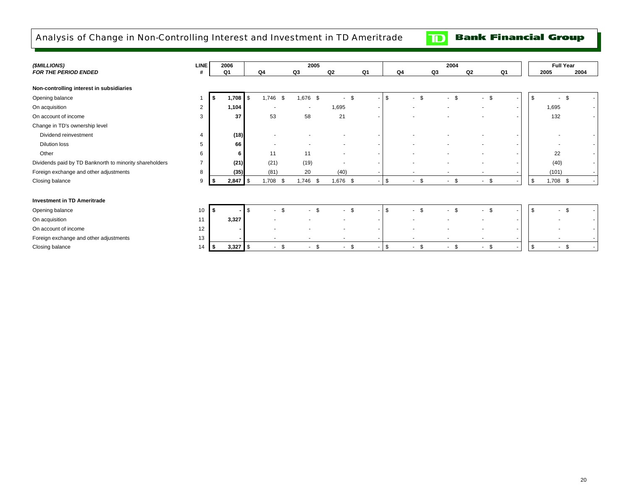<span id="page-22-0"></span>Analysis of Change in Non-Controlling Interest and Investment in TD Ameritrade

**Bank Financial Group**  $\mathbf{D}$ 

| (\$MILLIONS)                                            | <b>LINE</b>    |      | 2006       |               | 2005                     |                          |      |            |                          | 2004   |                                |    |              | <b>Full Year</b>               |      |
|---------------------------------------------------------|----------------|------|------------|---------------|--------------------------|--------------------------|------|------------|--------------------------|--------|--------------------------------|----|--------------|--------------------------------|------|
| FOR THE PERIOD ENDED                                    | #              |      | Q1         | Q4            | Q3                       | Q2                       | Q1   |            | Q4                       | Q3     | Q2                             | Q1 |              | 2005                           | 2004 |
|                                                         |                |      |            |               |                          |                          |      |            |                          |        |                                |    |              |                                |      |
| Non-controlling interest in subsidiaries                |                |      |            |               |                          |                          |      |            |                          |        |                                |    |              |                                |      |
| Opening balance                                         |                | \$   | 1,708      | l \$<br>1,746 | - \$<br>1,676 \$         | $\sim$                   | - \$ | <b>S</b>   | $\mathbf{s}$<br>$\sim$   | $-$ \$ | \$<br>$\overline{\phantom{a}}$ |    | $\mathbb{S}$ | \$                             |      |
| On acquisition                                          | 2              |      | 1,104      |               | $\overline{\phantom{a}}$ | 1,695                    |      |            |                          |        | ٠                              |    |              | 1,695                          |      |
| On account of income                                    | 3              |      | 37         | 53            | 58                       | 21                       |      |            |                          |        |                                |    |              | 132                            |      |
| Change in TD's ownership level                          |                |      |            |               |                          |                          |      |            |                          |        |                                |    |              |                                |      |
| Dividend reinvestment                                   |                |      | (18)       |               |                          |                          |      |            |                          |        |                                |    |              |                                |      |
| <b>Dilution loss</b>                                    | 5              |      | 66         |               |                          |                          |      |            |                          |        | ٠                              |    |              |                                |      |
| Other                                                   | 6              |      | 6          | 11            | 11                       | $\overline{\phantom{a}}$ |      |            |                          |        | ٠                              |    |              | 22                             |      |
| Dividends paid by TD Banknorth to minority shareholders | $\overline{7}$ |      | (21)       | (21)          | (19)                     | $\sim$                   |      |            |                          |        | ٠                              |    |              | (40)                           |      |
| Foreign exchange and other adjustments                  | 8              |      | (35)       | (81)          | 20                       | (40)                     |      |            |                          |        |                                |    |              | (101)                          |      |
| Closing balance                                         | 9              |      | $2,847$ \$ | $1,708$ \$    | 1,746 \$                 | 1,676 \$                 |      | $\sqrt{3}$ | - \$<br>$\sim$           | $-$ \$ | \$<br>$\sim$                   |    | \$           | $1,708$ \$                     |      |
|                                                         |                |      |            |               |                          |                          |      |            |                          |        |                                |    |              |                                |      |
| <b>Investment in TD Ameritrade</b>                      |                |      |            |               |                          |                          |      |            |                          |        |                                |    |              |                                |      |
| Opening balance                                         | 10             | - \$ |            | $-$ \$<br>\$  |                          | <b>\$</b><br>$\sim$      | - \$ | l \$       | \$<br>$\sim$ 10 $\pm$    | $-$ \$ | \$<br>$\overline{\phantom{a}}$ |    | \$           | \$<br>٠                        |      |
| On acquisition                                          | 11             |      | 3,327      |               |                          |                          |      |            |                          |        |                                |    |              |                                |      |
| On account of income                                    | 12             |      |            |               |                          |                          |      |            |                          |        | ٠                              | ٠  |              |                                |      |
| Foreign exchange and other adjustments                  | 13             |      |            |               |                          |                          |      |            | $\overline{\phantom{a}}$ |        |                                |    |              |                                |      |
| Closing balance                                         | 14             | l \$ | $3,327$ \$ | $\sim$        | \$<br>$-$ \$             | $\sim$                   | \$   | <b>\$</b>  | $-$ \$                   | $-5$   | \$<br>$\sim$                   |    | $\sqrt{3}$   | \$<br>$\overline{\phantom{a}}$ |      |